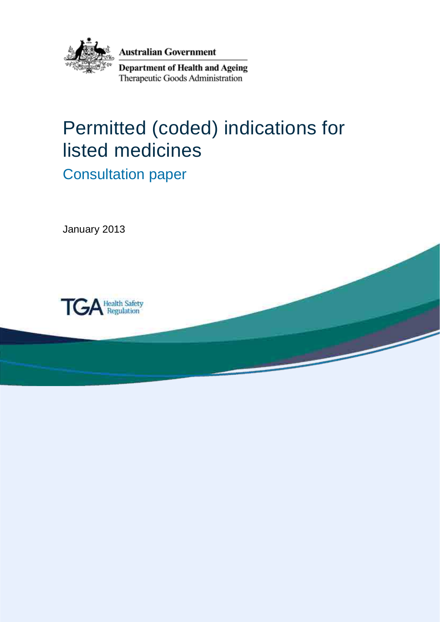

## Permitted (coded) indications for listed medicines

Consultation paper

January 2013

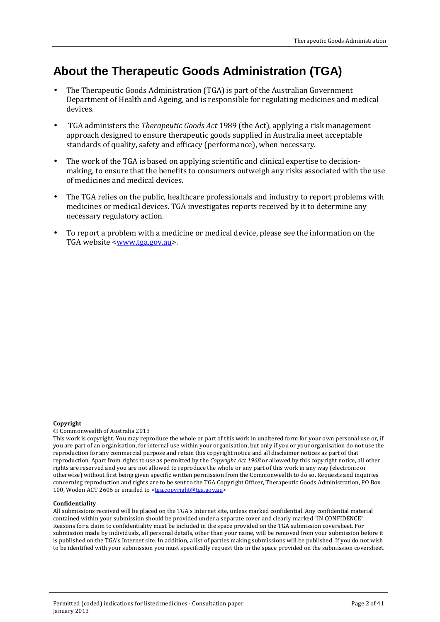## **About the Therapeutic Goods Administration (TGA)**

- The Therapeutic Goods Administration (TGA) is part of the Australian Government Department of Health and Ageing, and is responsible for regulating medicines and medical devices.
- TGA administers the *Therapeutic Goods Act* 1989 (the Act), applying a risk management approach designed to ensure therapeutic goods supplied in Australia meet acceptable standards of quality, safety and efficacy (performance), when necessary.
- The work of the TGA is based on applying scientific and clinical expertise to decisionmaking, to ensure that the benefits to consumers outweigh any risks associated with the use of medicines and medical devices.
- The TGA relies on the public, healthcare professionals and industry to report problems with medicines or medical devices. TGA investigates reports received by it to determine any necessary regulatory action.
- To report a problem with a medicine or medical device, please see the information on the TGA website [<www.tga.gov.au>](http://www.tga.gov.au/).

#### **Copyright**

#### © Commonwealth of Australia 2013

This work is copyright. You may reproduce the whole or part of this work in unaltered form for your own personal use or, if you are part of an organisation, for internal use within your organisation, but only if you or your organisation do not use the reproduction for any commercial purpose and retain this copyright notice and all disclaimer notices as part of that reproduction. Apart from rights to use as permitted by the *Copyright Act 1968* or allowed by this copyright notice, all other rights are reserved and you are not allowed to reproduce the whole or any part of this work in any way (electronic or otherwise) without first being given specific written permission from the Commonwealth to do so. Requests and inquiries concerning reproduction and rights are to be sent to the TGA Copyright Officer, Therapeutic Goods Administration, PO Box 100, Woden ACT 2606 or emailed to [<tga.copyright@tga.gov.au>](mailto:tga.copyright@tga.gov.au)

#### **Confidentiality**

All submissions received will be placed on the TGA's Internet site, unless marked confidential. Any confidential material contained within your submission should be provided under a separate cover and clearly marked "IN CONFIDENCE". Reasons for a claim to confidentiality must be included in the space provided on the TGA submission coversheet. For submission made by individuals, all personal details, other than your name, will be removed from your submission before it is published on the TGA's Internet site. In addition, a list of parties making submissions will be published. If you do not wish to be identified with your submission you must specifically request this in the space provided on the submission coversheet.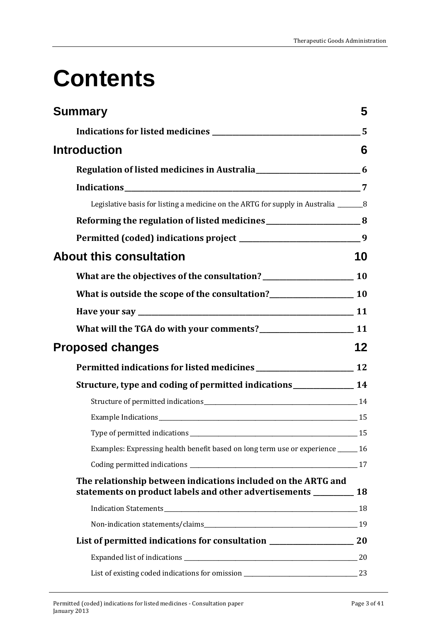## **Contents**

| <b>Summary</b>                                                                                                                        | 5                       |
|---------------------------------------------------------------------------------------------------------------------------------------|-------------------------|
|                                                                                                                                       | $\overline{\mathbf{5}}$ |
| <b>Introduction</b>                                                                                                                   | 6                       |
|                                                                                                                                       |                         |
|                                                                                                                                       |                         |
| Legislative basis for listing a medicine on the ARTG for supply in Australia ________________________________                         |                         |
| Reforming the regulation of listed medicines ___________________________________8                                                     |                         |
| Permitted (coded) indications project _________________________________9                                                              |                         |
| <b>About this consultation</b>                                                                                                        | 10                      |
| What are the objectives of the consultation?<br>10                                                                                    |                         |
| What is outside the scope of the consultation?<br>10                                                                                  |                         |
|                                                                                                                                       |                         |
| What will the TGA do with your comments?<br>11                                                                                        |                         |
| <b>Proposed changes</b>                                                                                                               | 12                      |
|                                                                                                                                       |                         |
| Structure, type and coding of permitted indications _________________ 14                                                              |                         |
| Structure of permitted indications<br><u>14</u>                                                                                       |                         |
|                                                                                                                                       |                         |
| Type of permitted indications<br>$\frac{15}{2}$                                                                                       |                         |
| Examples: Expressing health benefit based on long term use or experience _____ 16                                                     |                         |
|                                                                                                                                       |                         |
| The relationship between indications included on the ARTG and<br>statements on product labels and other advertisements ___________ 18 |                         |
|                                                                                                                                       |                         |
|                                                                                                                                       |                         |
| List of permitted indications for consultation __________________________________ 20                                                  |                         |
|                                                                                                                                       |                         |
|                                                                                                                                       |                         |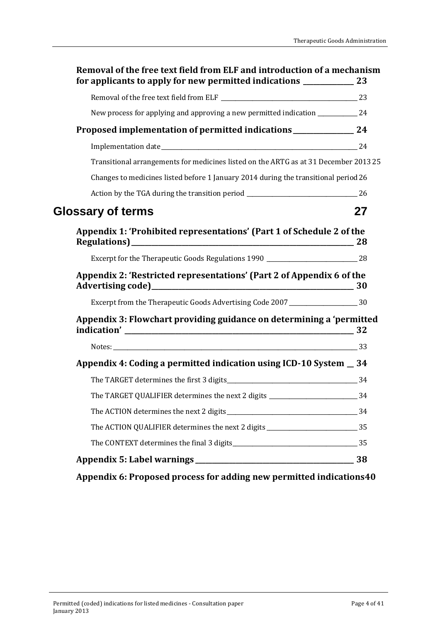| Proposed implementation of permitted indications ________________ 24<br>Transitional arrangements for medicines listed on the ARTG as at 31 December 2013 25<br>Changes to medicines listed before 1 January 2014 during the transitional period 26<br><b>Glossary of terms</b><br>Appendix 1: 'Prohibited representations' (Part 1 of Schedule 2 of the<br>Appendix 2: 'Restricted representations' (Part 2 of Appendix 6 of the<br>Excerpt from the Therapeutic Goods Advertising Code 2007 ________________________30<br>Appendix 3: Flowchart providing guidance on determining a 'permitted<br>Appendix 4: Coding a permitted indication using ICD-10 System _ 34<br>The TARGET determines the first 3 digits 34<br>The TARGET QUALIFIER determines the next 2 digits ______________________________34 |    |
|-------------------------------------------------------------------------------------------------------------------------------------------------------------------------------------------------------------------------------------------------------------------------------------------------------------------------------------------------------------------------------------------------------------------------------------------------------------------------------------------------------------------------------------------------------------------------------------------------------------------------------------------------------------------------------------------------------------------------------------------------------------------------------------------------------------|----|
|                                                                                                                                                                                                                                                                                                                                                                                                                                                                                                                                                                                                                                                                                                                                                                                                             |    |
|                                                                                                                                                                                                                                                                                                                                                                                                                                                                                                                                                                                                                                                                                                                                                                                                             |    |
|                                                                                                                                                                                                                                                                                                                                                                                                                                                                                                                                                                                                                                                                                                                                                                                                             |    |
|                                                                                                                                                                                                                                                                                                                                                                                                                                                                                                                                                                                                                                                                                                                                                                                                             |    |
|                                                                                                                                                                                                                                                                                                                                                                                                                                                                                                                                                                                                                                                                                                                                                                                                             |    |
|                                                                                                                                                                                                                                                                                                                                                                                                                                                                                                                                                                                                                                                                                                                                                                                                             |    |
|                                                                                                                                                                                                                                                                                                                                                                                                                                                                                                                                                                                                                                                                                                                                                                                                             | 27 |
|                                                                                                                                                                                                                                                                                                                                                                                                                                                                                                                                                                                                                                                                                                                                                                                                             |    |
|                                                                                                                                                                                                                                                                                                                                                                                                                                                                                                                                                                                                                                                                                                                                                                                                             |    |
|                                                                                                                                                                                                                                                                                                                                                                                                                                                                                                                                                                                                                                                                                                                                                                                                             |    |
|                                                                                                                                                                                                                                                                                                                                                                                                                                                                                                                                                                                                                                                                                                                                                                                                             |    |
|                                                                                                                                                                                                                                                                                                                                                                                                                                                                                                                                                                                                                                                                                                                                                                                                             |    |
|                                                                                                                                                                                                                                                                                                                                                                                                                                                                                                                                                                                                                                                                                                                                                                                                             |    |
|                                                                                                                                                                                                                                                                                                                                                                                                                                                                                                                                                                                                                                                                                                                                                                                                             |    |
|                                                                                                                                                                                                                                                                                                                                                                                                                                                                                                                                                                                                                                                                                                                                                                                                             |    |
|                                                                                                                                                                                                                                                                                                                                                                                                                                                                                                                                                                                                                                                                                                                                                                                                             |    |
|                                                                                                                                                                                                                                                                                                                                                                                                                                                                                                                                                                                                                                                                                                                                                                                                             |    |
| The ACTION QUALIFIER determines the next 2 digits _______________________________35                                                                                                                                                                                                                                                                                                                                                                                                                                                                                                                                                                                                                                                                                                                         |    |
|                                                                                                                                                                                                                                                                                                                                                                                                                                                                                                                                                                                                                                                                                                                                                                                                             |    |

**[Appendix 6: Proposed process for adding new permitted indications40](#page-39-0)**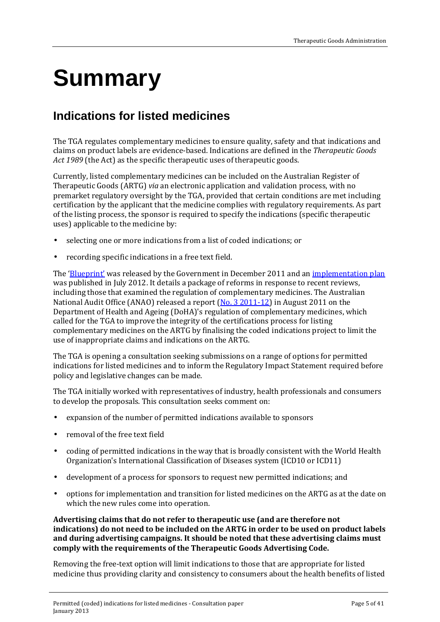## <span id="page-4-0"></span>**Summary**

## <span id="page-4-1"></span>**Indications for listed medicines**

The TGA regulates complementary medicines to ensure quality, safety and that indications and claims on product labels are evidence-based. Indications are defined in the *Therapeutic Goods Act 1989* (the Act) as the specific therapeutic uses of therapeutic goods.

Currently, listed complementary medicines can be included on the Australian Register of Therapeutic Goods (ARTG) *via* an electronic application and validation process, with no premarket regulatory oversight by the TGA, provided that certain conditions are met including certification by the applicant that the medicine complies with regulatory requirements. As part of the listing process, the sponsor is required to specify the indications (specific therapeutic uses) applicable to the medicine by:

- selecting one or more indications from a list of coded indications; or
- recording specific indications in a free text field.

The ['Blueprint'](http://www.tga.gov.au/about/tga-reforms-blueprint.htm) was released by the Government in December 2011 and an [implementation plan](http://www.tga.gov.au/about/tga-reforms-blueprint-implementation.htm) was published in July 2012. It details a package of reforms in response to recent reviews, including those that examined the regulation of complementary medicines. The Australian National Audit Office (ANAO) released a report [\(No. 3 2011-12\)](http://www.anao.gov.au/Publications/Audit-Reports/2011-2012/Therapeutic-Goods-Regulation-Complementary-Medicines) in August 2011 on the Department of Health and Ageing (DoHA)'s regulation of complementary medicines, which called for the TGA to improve the integrity of the certifications process for listing complementary medicines on the ARTG by finalising the coded indications project to limit the use of inappropriate claims and indications on the ARTG.

The TGA is opening a consultation seeking submissions on a range of options for permitted indications for listed medicines and to inform the Regulatory Impact Statement required before policy and legislative changes can be made.

The TGA initially worked with representatives of industry, health professionals and consumers to develop the proposals. This consultation seeks comment on:

- expansion of the number of permitted indications available to sponsors
- removal of the free text field
- coding of permitted indications in the way that is broadly consistent with the World Health Organization's International Classification of Diseases system (ICD10 or ICD11)
- development of a process for sponsors to request new permitted indications; and
- options for implementation and transition for listed medicines on the ARTG as at the date on which the new rules come into operation.

#### **Advertising claims that do not refer to therapeutic use (and are therefore not indications) do not need to be included on the ARTG in order to be used on product labels and during advertising campaigns. It should be noted that these advertising claims must comply with the requirements of the Therapeutic Goods Advertising Code.**

Removing the free-text option will limit indications to those that are appropriate for listed medicine thus providing clarity and consistency to consumers about the health benefits of listed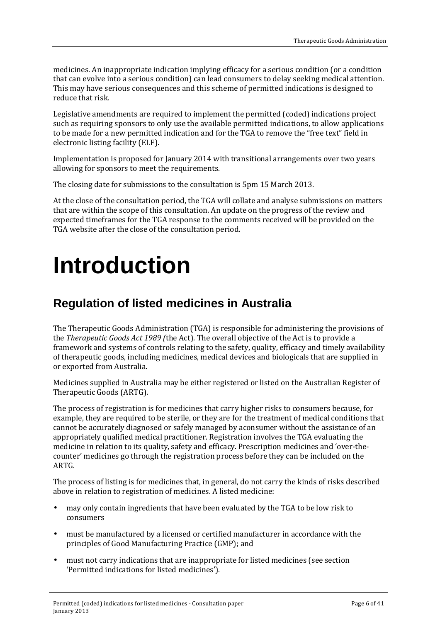medicines. An inappropriate indication implying efficacy for a serious condition (or a condition that can evolve into a serious condition) can lead consumers to delay seeking medical attention. This may have serious consequences and this scheme of permitted indications is designed to reduce that risk.

Legislative amendments are required to implement the permitted (coded) indications project such as requiring sponsors to only use the available permitted indications, to allow applications to be made for a new permitted indication and for the TGA to remove the "free text" field in electronic listing facility (ELF).

Implementation is proposed for January 2014 with transitional arrangements over two years allowing for sponsors to meet the requirements.

The closing date for submissions to the consultation is 5pm 15 March 2013.

At the close of the consultation period, the TGA will collate and analyse submissions on matters that are within the scope of this consultation. An update on the progress of the review and expected timeframes for the TGA response to the comments received will be provided on the TGA website after the close of the consultation period.

## <span id="page-5-0"></span>**Introduction**

## <span id="page-5-1"></span>**Regulation of listed medicines in Australia**

The Therapeutic Goods Administration (TGA) is responsible for administering the provisions of the *Therapeutic Goods Act 1989 (*the Act). The overall objective of the Act is to provide a framework and systems of controls relating to the safety, quality, efficacy and timely availability of therapeutic goods, including medicines, medical devices and biologicals that are supplied in or exported from Australia.

Medicines supplied in Australia may be either registered or listed on the Australian Register of Therapeutic Goods (ARTG).

The process of registration is for medicines that carry higher risks to consumers because, for example, they are required to be sterile, or they are for the treatment of medical conditions that cannot be accurately diagnosed or safely managed by aconsumer without the assistance of an appropriately qualified medical practitioner. Registration involves the TGA evaluating the medicine in relation to its quality, safety and efficacy. Prescription medicines and 'over-thecounter' medicines go through the registration process before they can be included on the ARTG.

The process of listing is for medicines that, in general, do not carry the kinds of risks described above in relation to registration of medicines. A listed medicine:

- may only contain ingredients that have been evaluated by the TGA to be low risk to consumers
- must be manufactured by a licensed or certified manufacturer in accordance with the principles of Good Manufacturing Practice (GMP); and
- must not carry indications that are inappropriate for listed medicines (see section 'Permitted indications for listed medicines').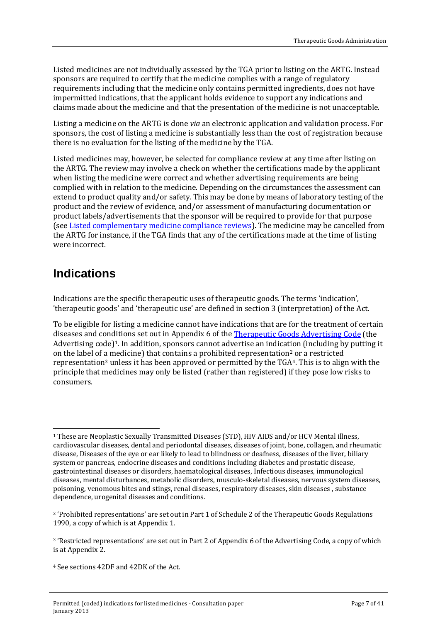Listed medicines are not individually assessed by the TGA prior to listing on the ARTG. Instead sponsors are required to certify that the medicine complies with a range of regulatory requirements including that the medicine only contains permitted ingredients, does not have impermitted indications, that the applicant holds evidence to support any indications and claims made about the medicine and that the presentation of the medicine is not unacceptable.

Listing a medicine on the ARTG is done *via* an electronic application and validation process. For sponsors, the cost of listing a medicine is substantially less than the cost of registration because there is no evaluation for the listing of the medicine by the TGA.

Listed medicines may, however, be selected for compliance review at any time after listing on the ARTG. The review may involve a check on whether the certifications made by the applicant when listing the medicine were correct and whether advertising requirements are being complied with in relation to the medicine. Depending on the circumstances the assessment can extend to product quality and/or safety. This may be done by means of laboratory testing of the product and the review of evidence, and/or assessment of manufacturing documentation or product labels/advertisements that the sponsor will be required to provide for that purpose (see [Listed complementary medicine compliance reviews\)](http://www.tga.gov.au/industry/cm-basics-regulation-compliance-reviews.htm). The medicine may be cancelled from the ARTG for instance, if the TGA finds that any of the certifications made at the time of listing were incorrect.

## <span id="page-6-0"></span>**Indications**

Indications are the specific therapeutic uses of therapeutic goods. The terms 'indication', 'therapeutic goods' and 'therapeutic use' are defined in section 3 (interpretation) of the Act.

To be eligible for listing a medicine cannot have indications that are for the treatment of certain diseases and conditions set out in Appendix 6 of the [Therapeutic Goods Advertising Code \(](http://www.tga.gov.au/industry/legislation-tgac.htm)the Advertising code)<sup>1</sup>. In addi[tio](#page-6-2)n, sponsors cannot advertise an indication (including by putting it on the label of [a](#page-6-3) medicine) that contains a prohibited representation<sup>2</sup> or a restricted representation3 unless it has been approved or permitted by the TGA[4](#page-6-4). This is to align with the principle that medicines may only be listed (rather than registered) if they pose low risks to consumers.

<span id="page-6-1"></span><sup>-</sup><sup>1</sup> These are Neoplastic Sexually Transmitted Diseases (STD), HIV AIDS and/or HCV Mental illness, cardiovascular diseases, dental and periodontal diseases, diseases of joint, bone, collagen, and rheumatic disease, Diseases of the eye or ear likely to lead to blindness or deafness, diseases of the liver, biliary system or pancreas, endocrine diseases and conditions including diabetes and prostatic disease, gastrointestinal diseases or disorders, haematological diseases, Infectious diseases, immunological diseases, mental disturbances, metabolic disorders, musculo-skeletal diseases, nervous system diseases, poisoning, venomous bites and stings, renal diseases, respiratory diseases, skin diseases , substance dependence, urogenital diseases and conditions.

<span id="page-6-2"></span><sup>2 &#</sup>x27;Prohibited representations' are set out in Part 1 of Schedule 2 of the Therapeutic Goods Regulations 1990, a copy of which is at Appendix 1.

<span id="page-6-3"></span><sup>3 &#</sup>x27;Restricted representations' are set out in Part 2 of Appendix 6 of the Advertising Code, a copy of which is at Appendix 2.

<span id="page-6-4"></span><sup>4</sup> See sections 42DF and 42DK of the Act.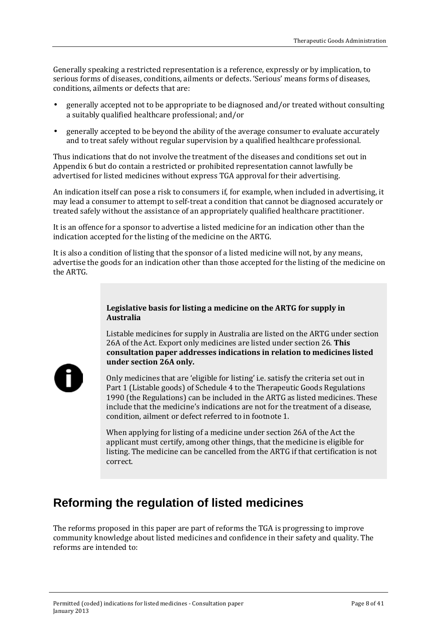Generally speaking a restricted representation is a reference, expressly or by implication, to serious forms of diseases, conditions, ailments or defects. 'Serious' means forms of diseases, conditions, ailments or defects that are:

- generally accepted not to be appropriate to be diagnosed and/or treated without consulting a suitably qualified healthcare professional; and/or
- generally accepted to be beyond the ability of the average consumer to evaluate accurately and to treat safely without regular supervision by a qualified healthcare professional.

Thus indications that do not involve the treatment of the diseases and conditions set out in Appendix 6 but do contain a restricted or prohibited representation cannot lawfully be advertised for listed medicines without express TGA approval for their advertising.

An indication itself can pose a risk to consumers if, for example, when included in advertising, it may lead a consumer to attempt to self-treat a condition that cannot be diagnosed accurately or treated safely without the assistance of an appropriately qualified healthcare practitioner.

It is an offence for a sponsor to advertise a listed medicine for an indication other than the indication accepted for the listing of the medicine on the ARTG.

It is also a condition of listing that the sponsor of a listed medicine will not, by any means, advertise the goods for an indication other than those accepted for the listing of the medicine on the ARTG.

#### <span id="page-7-0"></span>**Legislative basis for listing a medicine on the ARTG for supply in Australia**

Listable medicines for supply in Australia are listed on the ARTG under section 26A of the Act. Export only medicines are listed under section 26. **This consultation paper addresses indications in relation to medicines listed under section 26A only.** 

Only medicines that are 'eligible for listing' i.e. satisfy the criteria set out in Part 1 (Listable goods) of Schedule 4 to the Therapeutic Goods Regulations 1990 (the Regulations) can be included in the ARTG as listed medicines. These include that the medicine's indications are not for the treatment of a disease, condition, ailment or defect referred to in footnote 1.

When applying for listing of a medicine under section 26A of the Act the applicant must certify, among other things, that the medicine is eligible for listing. The medicine can be cancelled from the ARTG if that certification is not correct.

## <span id="page-7-1"></span>**Reforming the regulation of listed medicines**

The reforms proposed in this paper are part of reforms the TGA is progressing to improve community knowledge about listed medicines and confidence in their safety and quality. The reforms are intended to: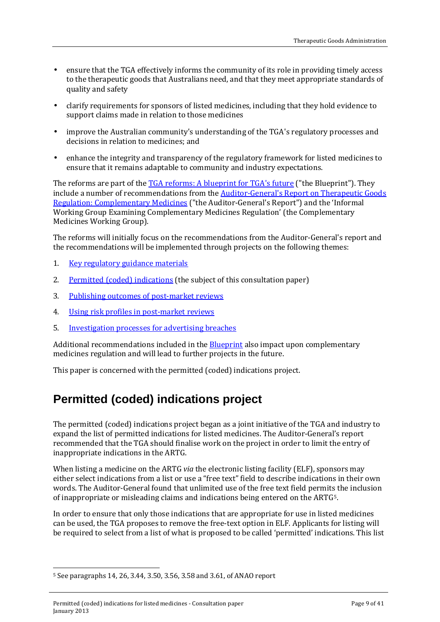- ensure that the TGA effectively informs the community of its role in providing timely access to the therapeutic goods that Australians need, and that they meet appropriate standards of quality and safety
- clarify requirements for sponsors of listed medicines, including that they hold evidence to support claims made in relation to those medicines
- improve the Australian community's understanding of the TGA's regulatory processes and decisions in relation to medicines; and
- enhance the integrity and transparency of the regulatory framework for listed medicines to ensure that it remains adaptable to community and industry expectations.

The reforms are part of the [TGA reforms: A blueprint for TGA](http://www.tga.gov.au/about/tga-reforms-blueprint.htm)'s future ("the Blueprint"). They include a number of recommendations from the Auditor-General['s Report on Therapeutic Goods](http://www.anao.gov.au/Publications/Audit-Reports/2011-2012/Therapeutic-Goods-Regulation-Complementary-Medicines)  [Regulation: Complementary Medicines](http://www.anao.gov.au/Publications/Audit-Reports/2011-2012/Therapeutic-Goods-Regulation-Complementary-Medicines) ("the Auditor-General's Report") and the 'Informal Working Group Examining Complementary Medicines Regulation' (the Complementary Medicines Working Group).

The reforms will initially focus on the recommendations from the Auditor-General's report and the recommendations will be implemented through projects on the following themes:

- 1. [Key regulatory guidance materials](http://www.tga.gov.au/industry/cm-reforms-key-guidance-materials.htm)
- 2. Permitted (coded) [indications](http://www.tga.gov.au/industry/cm-reforms-standard-indications.htm) (the subject of this consultation paper)
- 3. [Publishing outcomes of post-market reviews](http://www.tga.gov.au/industry/cm-reforms-publish-reviews.htm)
- 4. [Using risk profiles in post-market reviews](http://www.tga.gov.au/industry/cm-reforms-risk-profiles.htm)
- 5. [Investigation processes for advertising breaches](http://www.tga.gov.au/industry/cm-reforms-advertising-breaches.htm)

Additional recommendations included in the **Blueprint** also impact upon complementary medicines regulation and will lead to further projects in the future.

This paper is concerned with the permitted (coded) indications project.

## <span id="page-8-0"></span>**Permitted (coded) indications project**

The permitted (coded) indications project began as a joint initiative of the TGA and industry to expand the list of permitted indications for listed medicines. The Auditor-General's report recommended that the TGA should finalise work on the project in order to limit the entry of inappropriate indications in the ARTG.

When listing a medicine on the ARTG *via* the electronic listing facility (ELF), sponsors may either select indications from a list or use a "free text" field to describe indications in their own words. The Auditor-General found that unlimited use of the free text field permits the inclusion of inappropriate or misleading claims and indications being entered on the ARTG[5.](#page-8-1)

In order to ensure that only those indications that are appropriate for use in listed medicines can be used, the TGA proposes to remove the free-text option in ELF. Applicants for listing will be required to select from a list of what is proposed to be called 'permitted' indications. This list

<span id="page-8-1"></span>j <sup>5</sup> See paragraphs 14, 26, 3.44, 3.50, 3.56, 3.58 and 3.61, of ANAO report

Permitted (coded) indications for listed medicines - Consultation paper January 2013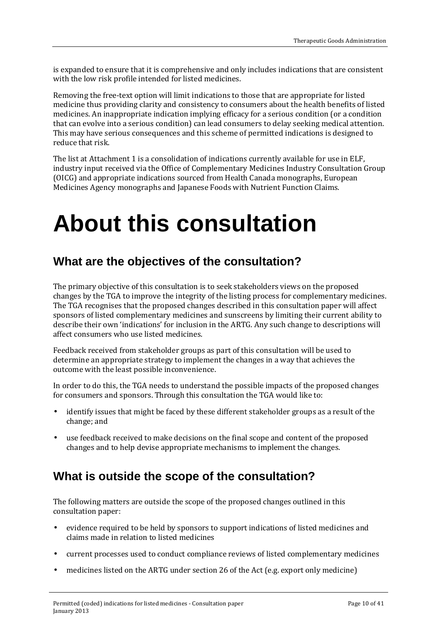is expanded to ensure that it is comprehensive and only includes indications that are consistent with the low risk profile intended for listed medicines.

Removing the free-text option will limit indications to those that are appropriate for listed medicine thus providing clarity and consistency to consumers about the health benefits of listed medicines. An inappropriate indication implying efficacy for a serious condition (or a condition that can evolve into a serious condition) can lead consumers to delay seeking medical attention. This may have serious consequences and this scheme of permitted indications is designed to reduce that risk.

The list at Attachment 1 is a consolidation of indications currently available for use in ELF, industry input received via the Office of Complementary Medicines Industry Consultation Group (OICG) and appropriate indications sourced from Health Canada monographs, European Medicines Agency monographs and Japanese Foods with Nutrient Function Claims.

## <span id="page-9-0"></span>**About this consultation**

## <span id="page-9-1"></span>**What are the objectives of the consultation?**

The primary objective of this consultation is to seek stakeholders views on the proposed changes by the TGA to improve the integrity of the listing process for complementary medicines. The TGA recognises that the proposed changes described in this consultation paper will affect sponsors of listed complementary medicines and sunscreens by limiting their current ability to describe their own 'indications' for inclusion in the ARTG. Any such change to descriptions will affect consumers who use listed medicines.

Feedback received from stakeholder groups as part of this consultation will be used to determine an appropriate strategy to implement the changes in a way that achieves the outcome with the least possible inconvenience.

In order to do this, the TGA needs to understand the possible impacts of the proposed changes for consumers and sponsors. Through this consultation the TGA would like to:

- identify issues that might be faced by these different stakeholder groups as a result of the change; and
- use feedback received to make decisions on the final scope and content of the proposed changes and to help devise appropriate mechanisms to implement the changes.

## <span id="page-9-2"></span>**What is outside the scope of the consultation?**

The following matters are outside the scope of the proposed changes outlined in this consultation paper:

- evidence required to be held by sponsors to support indications of listed medicines and t. claims made in relation to listed medicines
- current processes used to conduct compliance reviews of listed complementary medicines
- medicines listed on the ARTG under section 26 of the Act (e.g. export only medicine)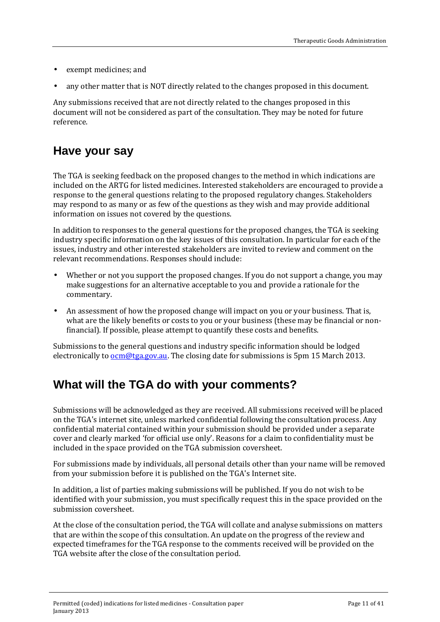- exempt medicines; and
- any other matter that is NOT directly related to the changes proposed in this document.

Any submissions received that are not directly related to the changes proposed in this document will not be considered as part of the consultation. They may be noted for future reference.

## <span id="page-10-0"></span>**Have your say**

The TGA is seeking feedback on the proposed changes to the method in which indications are included on the ARTG for listed medicines. Interested stakeholders are encouraged to provide a response to the general questions relating to the proposed regulatory changes. Stakeholders may respond to as many or as few of the questions as they wish and may provide additional information on issues not covered by the questions.

In addition to responses to the general questions for the proposed changes, the TGA is seeking industry specific information on the key issues of this consultation. In particular for each of the issues, industry and other interested stakeholders are invited to review and comment on the relevant recommendations. Responses should include:

- Whether or not you support the proposed changes. If you do not support a change, you may make suggestions for an alternative acceptable to you and provide a rationale for the commentary.
- An assessment of how the proposed change will impact on you or your business. That is, what are the likely benefits or costs to you or your business (these may be financial or nonfinancial). If possible, please attempt to quantify these costs and benefits.

Submissions to the general questions and industry specific information should be lodged electronically to  $ocm@tga.gov.au$ . The closing date for submissions is 5pm 15 March 2013.

## <span id="page-10-1"></span>**What will the TGA do with your comments?**

Submissions will be acknowledged as they are received. All submissions received will be placed on the TGA's internet site, unless marked confidential following the consultation process. Any confidential material contained within your submission should be provided under a separate cover and clearly marked 'for official use only'. Reasons for a claim to confidentiality must be included in the space provided on the TGA submission coversheet.

For submissions made by individuals, all personal details other than your name will be removed from your submission before it is published on the TGA's Internet site.

In addition, a list of parties making submissions will be published. If you do not wish to be identified with your submission, you must specifically request this in the space provided on the submission coversheet.

At the close of the consultation period, the TGA will collate and analyse submissions on matters that are within the scope of this consultation. An update on the progress of the review and expected timeframes for the TGA response to the comments received will be provided on the TGA website after the close of the consultation period.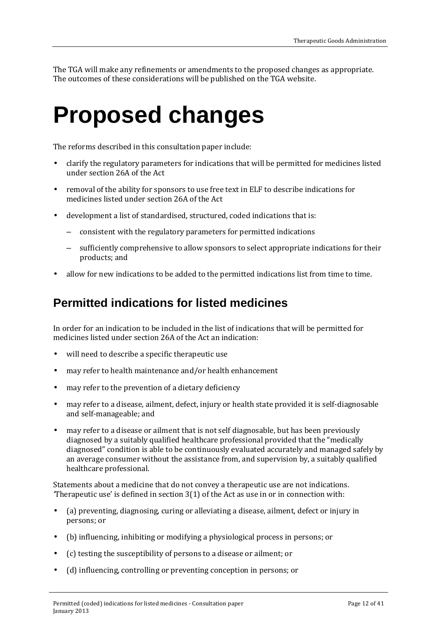The TGA will make any refinements or amendments to the proposed changes as appropriate. The outcomes of these considerations will be published on the TGA website.

## <span id="page-11-0"></span>**Proposed changes**

The reforms described in this consultation paper include:

- clarify the regulatory parameters for indications that will be permitted for medicines listed under section 26A of the Act
- removal of the ability for sponsors to use free text in ELF to describe indications for medicines listed under section 26A of the Act
- development a list of standardised, structured, coded indications that is:
	- consistent with the regulatory parameters for permitted indications
	- sufficiently comprehensive to allow sponsors to select appropriate indications for their products; and
- allow for new indications to be added to the permitted indications list from time to time.

### <span id="page-11-1"></span>**Permitted indications for listed medicines**

In order for an indication to be included in the list of indications that will be permitted for medicines listed under section 26A of the Act an indication:

- will need to describe a specific therapeutic use  $\mathbf{r}$
- may refer to health maintenance and/or health enhancement
- may refer to the prevention of a dietary deficiency  $\mathbf{r}$
- may refer to a disease, ailment, defect, injury or health state provided it is self-diagnosable and self-manageable; and
- may refer to a disease or ailment that is not self diagnosable, but has been previously diagnosed by a suitably qualified healthcare professional provided that the "medically diagnosed" condition is able to be continuously evaluated accurately and managed safely by an average consumer without the assistance from, and supervision by, a suitably qualified healthcare professional.

Statements about a medicine that do not convey a therapeutic use are not indications. *'*Therapeutic use' is defined in section 3(1) of the Act as use in or in connection with:

- $\mathbf{r}$ (a) preventing, diagnosing, curing or alleviating a disease, ailment, defect or injury in persons; or
- (b) influencing, inhibiting or modifying a physiological process in persons; or
- (c) testing the susceptibility of persons to a disease or ailment; or
- (d) influencing, controlling or preventing conception in persons; or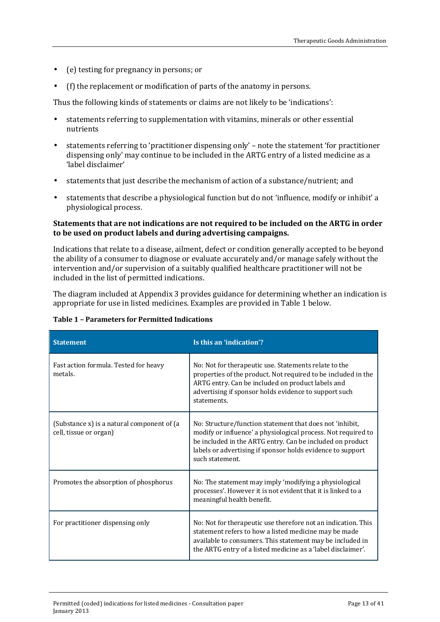- (e) testing for pregnancy in persons; or l,
- (f) the replacement or modification of parts of the anatomy in persons. ä,

Thus the following kinds of statements or claims are not likely to be 'indications':

- statements referring to supplementation with vitamins, minerals or other essential  $\mathcal{L}^{\mathcal{L}}$ nutrients
- statements referring to 'practitioner dispensing only' note the statement 'for practitioner dispensing only' may continue to be included in the ARTG entry of a listed medicine as a 'label disclaimer'
- statements that just describe the mechanism of action of a substance/nutrient; and
- statements that describe a physiological function but do not 'influence, modify or inhibit' a physiological process.

#### **Statements that are not indications are not required to be included on the ARTG in order to be used on product labels and during advertising campaigns.**

Indications that relate to a disease, ailment, defect or condition generally accepted to be beyond the ability of a consumer to diagnose or evaluate accurately and/or manage safely without the intervention and/or supervision of a suitably qualified healthcare practitioner will not be included in the list of permitted indications.

The diagram included at Appendix 3 provides guidance for determining whether an indication is appropriate for use in listed medicines. Examples are provided in Table 1 below.

| <b>Statement</b>                                                     | Is this an 'indication'?                                                                                                                                                                                                                                                |
|----------------------------------------------------------------------|-------------------------------------------------------------------------------------------------------------------------------------------------------------------------------------------------------------------------------------------------------------------------|
| Fast action formula. Tested for heavy<br>metals.                     | No: Not for therapeutic use. Statements relate to the<br>properties of the product. Not required to be included in the<br>ARTG entry. Can be included on product labels and<br>advertising if sponsor holds evidence to support such<br>statements.                     |
| (Substance x) is a natural component of (a<br>cell, tissue or organ) | No: Structure/function statement that does not 'inhibit,<br>modify or influence' a physiological process. Not required to<br>be included in the ARTG entry. Can be included on product<br>labels or advertising if sponsor holds evidence to support<br>such statement. |
| Promotes the absorption of phosphorus                                | No: The statement may imply 'modifying a physiological<br>processes'. However it is not evident that it is linked to a<br>meaningful health benefit.                                                                                                                    |
| For practitioner dispensing only                                     | No: Not for therapeutic use therefore not an indication. This<br>statement refers to how a listed medicine may be made<br>available to consumers. This statement may be included in<br>the ARTG entry of a listed medicine as a 'label disclaimer'.                     |

#### **Table 1 – Parameters for Permitted Indications**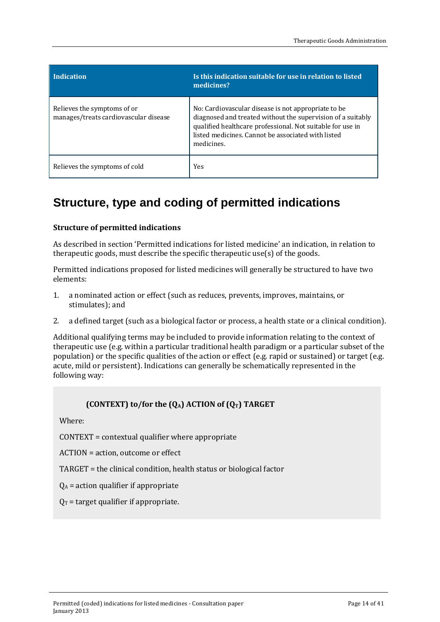| <b>Indication</b>                                                    | Is this indication suitable for use in relation to listed<br>medicines?                                                                                                                                                                               |
|----------------------------------------------------------------------|-------------------------------------------------------------------------------------------------------------------------------------------------------------------------------------------------------------------------------------------------------|
| Relieves the symptoms of or<br>manages/treats cardiovascular disease | No: Cardiovascular disease is not appropriate to be.<br>diagnosed and treated without the supervision of a suitably<br>qualified healthcare professional. Not suitable for use in<br>listed medicines. Cannot be associated with listed<br>medicines. |
| Relieves the symptoms of cold                                        | Yes                                                                                                                                                                                                                                                   |

## <span id="page-13-0"></span>**Structure, type and coding of permitted indications**

#### <span id="page-13-1"></span>**Structure of permitted indications**

As described in section 'Permitted indications for listed medicine' an indication, in relation to therapeutic goods, must describe the specific therapeutic use(s) of the goods.

Permitted indications proposed for listed medicines will generally be structured to have two elements:

- 1. a nominated action or effect (such as reduces, prevents, improves, maintains, or stimulates); and
- 2. a defined target (such as a biological factor or process, a health state or a clinical condition).

Additional qualifying terms may be included to provide information relating to the context of therapeutic use (e.g. within a particular traditional health paradigm or a particular subset of the population) or the specific qualities of the action or effect (e.g. rapid or sustained) or target (e.g. acute, mild or persistent). Indications can generally be schematically represented in the following way:

#### **(CONTEXT) to/for the**  $(Q_A)$  **ACTION of**  $(Q_T)$  **TARGET**

Where:

CONTEXT = contextual qualifier where appropriate

ACTION = action, outcome or effect

TARGET = the clinical condition, health status or biological factor

 $Q_A$  = action qualifier if appropriate

 $Q_T$  = target qualifier if appropriate.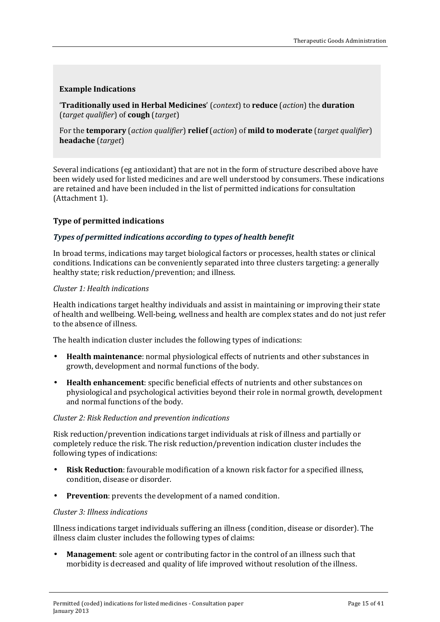#### <span id="page-14-0"></span>**Example Indications**

'**Traditionally used in Herbal Medicines**' (*context*) to **reduce** (*action*) the **duration** (*target qualifier*) of **cough** (*target*)

For the **temporary** (*action qualifier*) **relief** (*action*) of **mild to moderate** (*target qualifier*) **headache** (*target*)

Several indications (eg antioxidant) that are not in the form of structure described above have been widely used for listed medicines and are well understood by consumers. These indications are retained and have been included in the list of permitted indications for consultation (Attachment 1).

#### <span id="page-14-1"></span>**Type of permitted indications**

#### *Types of permitted indications according to types of health benefit*

In broad terms, indications may target biological factors or processes, health states or clinical conditions. Indications can be conveniently separated into three clusters targeting: a generally healthy state; risk reduction/prevention; and illness.

#### *Cluster 1: Health indications*

Health indications target healthy individuals and assist in maintaining or improving their state of health and wellbeing. Well-being, wellness and health are complex states and do not just refer to the absence of illness.

The health indication cluster includes the following types of indications:

- **Health maintenance**: normal physiological effects of nutrients and other substances in growth, development and normal functions of the body.
- **Health enhancement**: specific beneficial effects of nutrients and other substances on physiological and psychological activities beyond their role in normal growth, development and normal functions of the body.

#### *Cluster 2: Risk Reduction and prevention indications*

Risk reduction/prevention indications target individuals at risk of illness and partially or completely reduce the risk. The risk reduction/prevention indication cluster includes the following types of indications:

- **Risk Reduction**: favourable modification of a known risk factor for a specified illness,  $\mathbf{r}$ condition, disease or disorder.
- **Prevention**: prevents the development of a named condition.

#### *Cluster 3: Illness indications*

Illness indications target individuals suffering an illness (condition, disease or disorder). The illness claim cluster includes the following types of claims:

**Management**: sole agent or contributing factor in the control of an illness such that morbidity is decreased and quality of life improved without resolution of the illness.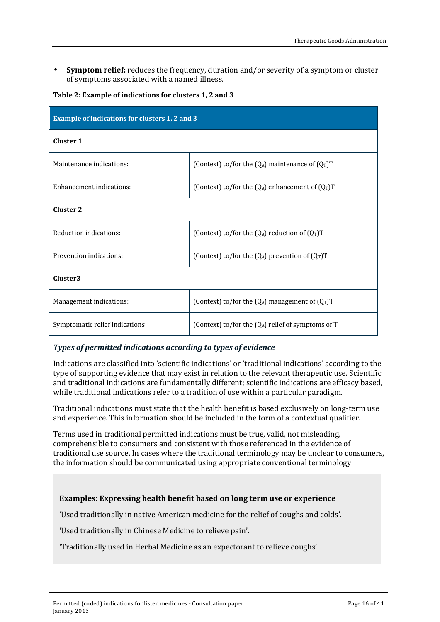**Symptom relief:** reduces the frequency, duration and/or severity of a symptom or cluster of symptoms associated with a named illness.

|  |  | Table 2: Example of indications for clusters 1, 2 and 3 |  |  |
|--|--|---------------------------------------------------------|--|--|
|--|--|---------------------------------------------------------|--|--|

| <b>Example of indications for clusters 1, 2 and 3</b> |                                                      |  |  |  |
|-------------------------------------------------------|------------------------------------------------------|--|--|--|
| <b>Cluster 1</b>                                      |                                                      |  |  |  |
| Maintenance indications:                              | (Context) to/for the $(Q_A)$ maintenance of $(Q_T)T$ |  |  |  |
| Enhancement indications:                              | (Context) to/for the $(Q_A)$ enhancement of $(Q_T)T$ |  |  |  |
| <b>Cluster 2</b>                                      |                                                      |  |  |  |
| Reduction indications:                                | (Context) to/for the $(Q_A)$ reduction of $(Q_T)T$   |  |  |  |
| Prevention indications:                               | (Context) to/for the $(Q_A)$ prevention of $(Q_T)T$  |  |  |  |
| Cluster3                                              |                                                      |  |  |  |
| Management indications:                               | (Context) to/for the $(Q_A)$ management of $(Q_T)T$  |  |  |  |
| Symptomatic relief indications                        | (Context) to/for the $(Q_A)$ relief of symptoms of T |  |  |  |

#### *Types of permitted indications according to types of evidence*

Indications are classified into 'scientific indications' or 'traditional indications' according to the type of supporting evidence that may exist in relation to the relevant therapeutic use. Scientific and traditional indications are fundamentally different; scientific indications are efficacy based, while traditional indications refer to a tradition of use within a particular paradigm.

Traditional indications must state that the health benefit is based exclusively on long-term use and experience. This information should be included in the form of a contextual qualifier.

Terms used in traditional permitted indications must be true, valid, not misleading, comprehensible to consumers and consistent with those referenced in the evidence of traditional use source. In cases where the traditional terminology may be unclear to consumers, the information should be communicated using appropriate conventional terminology.

#### <span id="page-15-0"></span>**Examples: Expressing health benefit based on long term use or experience**

'Used traditionally in native American medicine for the relief of coughs and colds'.

'Used traditionally in Chinese Medicine to relieve pain'.

'Traditionally used in Herbal Medicine as an expectorant to relieve coughs'.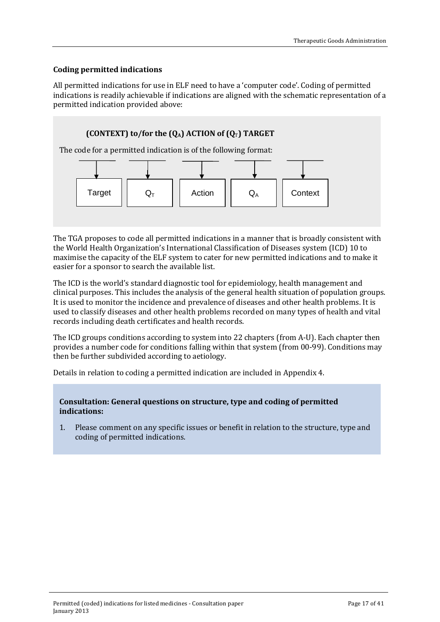#### <span id="page-16-0"></span>**Coding permitted indications**

All permitted indications for use in ELF need to have a 'computer code'. Coding of permitted indications is readily achievable if indications are aligned with the schematic representation of a permitted indication provided above:

#### **(CONTEXT) to/for the**  $[Q_A]$  **ACTION of**  $[Q_T]$  **TARGET**

The code for a permitted indication is of the following format:



The TGA proposes to code all permitted indications in a manner that is broadly consistent with the World Health Organization's International Classification of Diseases system (ICD) 10 to maximise the capacity of the ELF system to cater for new permitted indications and to make it easier for a sponsor to search the available list.

The ICD is the world's standard diagnostic tool for epidemiology, health management and clinical purposes. This includes the analysis of the general health situation of population groups. It is used to monitor the incidence and prevalence of diseases and other health problems. It is used to classify diseases and other health problems recorded on many types of health and vital records including death certificates and health records.

The ICD groups conditions according to system into 22 chapters (from A-U). Each chapter then provides a number code for conditions falling within that system (from 00-99). Conditions may then be further subdivided according to aetiology.

Details in relation to coding a permitted indication are included in Appendix 4.

#### **Consultation: General questions on structure, type and coding of permitted indications:**

1. Please comment on any specific issues or benefit in relation to the structure, type and coding of permitted indications.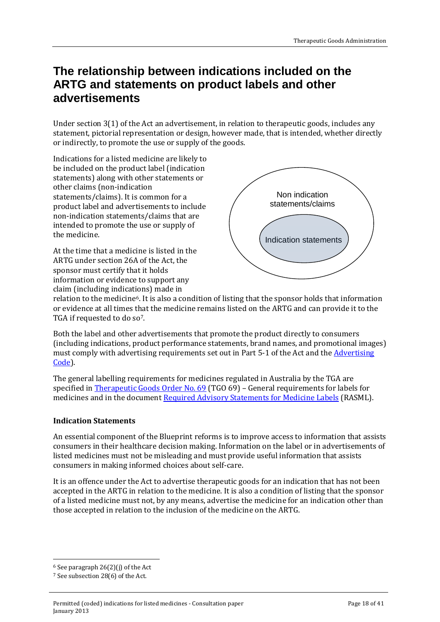### <span id="page-17-0"></span>**The relationship between indications included on the ARTG and statements on product labels and other advertisements**

Under section 3(1) of the Act an advertisement, in relation to therapeutic goods, includes any statement, pictorial representation or design, however made, that is intended, whether directly or indirectly, to promote the use or supply of the goods.

Indications for a listed medicine are likely to be included on the product label (indication statements) along with other statements or other claims (non-indication statements/claims). It is common for a product label and advertisements to include non-indication statements/claims that are intended to promote the use or supply of the medicine.

At the time that a medicine is listed in the ARTG under section 26A of the Act, the sponsor must certify that it holds information or evidence to support any claim (including indications) made in



relation to the medicine[6](#page-17-2). It is also a condition of listing that the sponsor holds that information or evidence at all times that the medicine remains listed on the ARTG and can provide it to the TGA if requested to do so<sup>7</sup>.

Both the label and other advertisements that promote the product directly to consumers (including indications, product performance statements, brand names, and promotional images) must comply with advertising requirements set out in Part 5-1 of the Act and the [Advertising](http://www.tga.gov.au/industry/legislation-tgac.htm)  [Code\)](http://www.tga.gov.au/industry/legislation-tgac.htm).

The general labelling requirements for medicines regulated in Australia by the TGA are specified in [Therapeutic Goods Order No. 69 \(](http://www.tga.gov.au/industry/legislation-tgo.htm)TGO 69) – General requirements for labels for medicines and in the document [Required Advisory Statements for Medicine Labels](http://www.tga.gov.au/industry/labelling-rasml.htm) (RASML).

#### <span id="page-17-1"></span>**Indication Statements**

An essential component of the Blueprint reforms is to improve access to information that assists consumers in their healthcare decision making. Information on the label or in advertisements of listed medicines must not be misleading and must provide useful information that assists consumers in making informed choices about self-care.

It is an offence under the Act to advertise therapeutic goods for an indication that has not been accepted in the ARTG in relation to the medicine. It is also a condition of listing that the sponsor of a listed medicine must not, by any means, advertise the medicine for an indication other than those accepted in relation to the inclusion of the medicine on the ARTG.

<span id="page-17-2"></span>j <sup>6</sup> See paragraph 26(2)(j) of the Act

<span id="page-17-3"></span><sup>7</sup> See subsection 28(6) of the Act.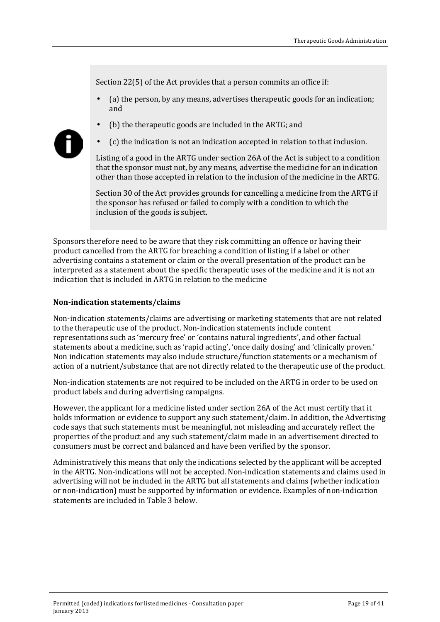Section 22(5) of the Act provides that a person commits an office if:

- (a) the person, by any means, advertises therapeutic goods for an indication; and
- (b) the therapeutic goods are included in the ARTG; and



(c) the indication is not an indication accepted in relation to that inclusion.

Listing of a good in the ARTG under section 26A of the Act is subject to a condition that the sponsor must not, by any means, advertise the medicine for an indication other than those accepted in relation to the inclusion of the medicine in the ARTG.

Section 30 of the Act provides grounds for cancelling a medicine from the ARTG if the sponsor has refused or failed to comply with a condition to which the inclusion of the goods is subject.

Sponsors therefore need to be aware that they risk committing an offence or having their product cancelled from the ARTG for breaching a condition of listing if a label or other advertising contains a statement or claim or the overall presentation of the product can be interpreted as a statement about the specific therapeutic uses of the medicine and it is not an indication that is included in ARTG in relation to the medicine

#### <span id="page-18-0"></span>**Non-indication statements/claims**

Non-indication statements/claims are advertising or marketing statements that are not related to the therapeutic use of the product. Non-indication statements include content representations such as 'mercury free' or 'contains natural ingredients', and other factual statements about a medicine, such as 'rapid acting', 'once daily dosing' and 'clinically proven.' Non indication statements may also include structure/function statements or a mechanism of action of a nutrient/substance that are not directly related to the therapeutic use of the product.

Non-indication statements are not required to be included on the ARTG in order to be used on product labels and during advertising campaigns.

However, the applicant for a medicine listed under section 26A of the Act must certify that it holds information or evidence to support any such statement/claim. In addition, the Advertising code says that such statements must be meaningful, not misleading and accurately reflect the properties of the product and any such statement/claim made in an advertisement directed to consumers must be correct and balanced and have been verified by the sponsor.

Administratively this means that only the indications selected by the applicant will be accepted in the ARTG. Non-indications will not be accepted. Non-indication statements and claims used in advertising will not be included in the ARTG but all statements and claims (whether indication or non-indication) must be supported by information or evidence. Examples of non-indication statements are included in Table 3 below.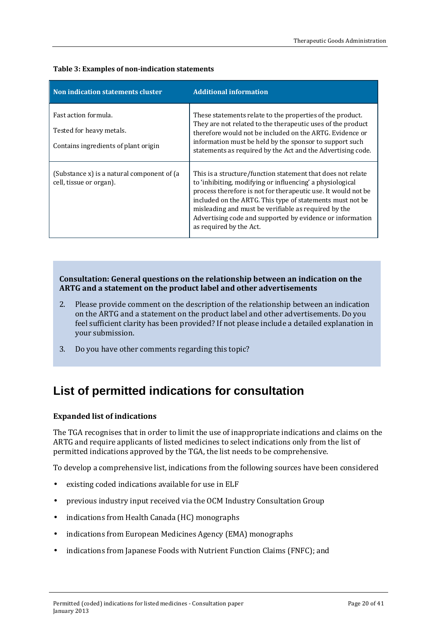| Non indication statements cluster                                                        | <b>Additional information</b>                                                                                                                                                                                                                                                                                                                                                                           |
|------------------------------------------------------------------------------------------|---------------------------------------------------------------------------------------------------------------------------------------------------------------------------------------------------------------------------------------------------------------------------------------------------------------------------------------------------------------------------------------------------------|
| Fast action formula.<br>Tested for heavy metals.<br>Contains ingredients of plant origin | These statements relate to the properties of the product.<br>They are not related to the therapeutic uses of the product<br>therefore would not be included on the ARTG. Evidence or<br>information must be held by the sponsor to support such<br>statements as required by the Act and the Advertising code.                                                                                          |
| (Substance x) is a natural component of (a<br>cell, tissue or organ).                    | This is a structure/function statement that does not relate<br>to 'inhibiting, modifying or influencing' a physiological<br>process therefore is not for therapeutic use. It would not be<br>included on the ARTG. This type of statements must not be.<br>misleading and must be verifiable as required by the<br>Advertising code and supported by evidence or information<br>as required by the Act. |

#### **Table 3: Examples of non-indication statements**

**Consultation: General questions on the relationship between an indication on the ARTG and a statement on the product label and other advertisements**

- 2. Please provide comment on the description of the relationship between an indication on the ARTG and a statement on the product label and other advertisements. Do you feel sufficient clarity has been provided? If not please include a detailed explanation in your submission.
- 3. Do you have other comments regarding this topic?

## <span id="page-19-0"></span>**List of permitted indications for consultation**

#### <span id="page-19-1"></span>**Expanded list of indications**

The TGA recognises that in order to limit the use of inappropriate indications and claims on the ARTG and require applicants of listed medicines to select indications only from the list of permitted indications approved by the TGA, the list needs to be comprehensive.

To develop a comprehensive list, indications from the following sources have been considered

- existing coded indications available for use in ELF  $\ddot{\phantom{a}}$
- previous industry input received via the OCM Industry Consultation Group  $\ddot{\phantom{a}}$
- indications from Health Canada (HC) monographs  $\ddot{\phantom{a}}$
- indications from European Medicines Agency (EMA) monographs  $\overline{a}$
- indications from Japanese Foods with Nutrient Function Claims (FNFC); and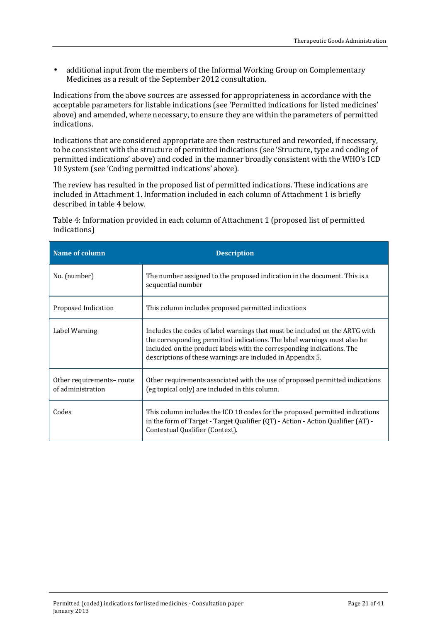additional input from the members of the Informal Working Group on Complementary ä, Medicines as a result of the September 2012 consultation.

Indications from the above sources are assessed for appropriateness in accordance with the acceptable parameters for listable indications (see 'Permitted indications for listed medicines' above) and amended, where necessary, to ensure they are within the parameters of permitted indications.

Indications that are considered appropriate are then restructured and reworded, if necessary, to be consistent with the structure of permitted indications (see 'Structure, type and coding of permitted indications' above) and coded in the manner broadly consistent with the WHO's ICD 10 System (see 'Coding permitted indications' above).

The review has resulted in the proposed list of permitted indications. These indications are included in Attachment 1. Information included in each column of Attachment 1 is briefly described in table 4 below.

Table 4: Information provided in each column of Attachment 1 (proposed list of permitted indications)

| Name of column                                | <b>Description</b>                                                                                                                                                                                                                                                                              |
|-----------------------------------------------|-------------------------------------------------------------------------------------------------------------------------------------------------------------------------------------------------------------------------------------------------------------------------------------------------|
| No. (number)                                  | The number assigned to the proposed indication in the document. This is a<br>sequential number                                                                                                                                                                                                  |
| Proposed Indication                           | This column includes proposed permitted indications                                                                                                                                                                                                                                             |
| Label Warning                                 | Includes the codes of label warnings that must be included on the ARTG with<br>the corresponding permitted indications. The label warnings must also be<br>included on the product labels with the corresponding indications. The<br>descriptions of these warnings are included in Appendix 5. |
| Other requirements-route<br>of administration | Other requirements associated with the use of proposed permitted indications<br>(eg topical only) are included in this column.                                                                                                                                                                  |
| Codes                                         | This column includes the ICD 10 codes for the proposed permitted indications<br>in the form of Target - Target Qualifier (QT) - Action - Action Qualifier (AT) -<br>Contextual Qualifier (Context).                                                                                             |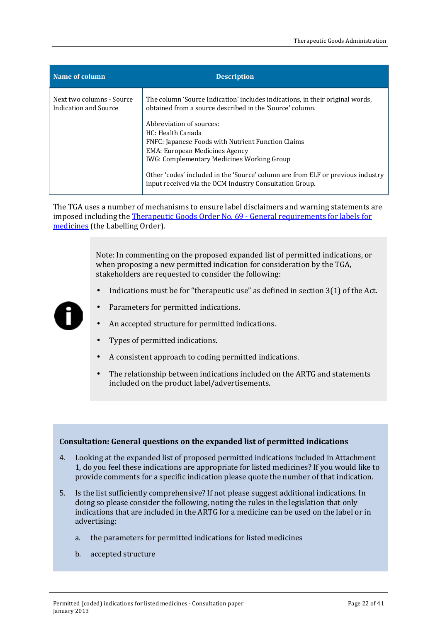| Name of column                                     | <b>Description</b>                                                                                                                                                                                                                                                                                                                              |
|----------------------------------------------------|-------------------------------------------------------------------------------------------------------------------------------------------------------------------------------------------------------------------------------------------------------------------------------------------------------------------------------------------------|
| Next two columns - Source<br>Indication and Source | The column 'Source Indication' includes indications, in their original words,<br>obtained from a source described in the 'Source' column.                                                                                                                                                                                                       |
|                                                    | Abbreviation of sources:<br>HC: Health Canada<br>FNFC: Japanese Foods with Nutrient Function Claims<br><b>EMA: European Medicines Agency</b><br><b>IWG: Complementary Medicines Working Group</b><br>Other 'codes' included in the 'Source' column are from ELF or previous industry<br>input received via the OCM Industry Consultation Group. |

The TGA uses a number of mechanisms to ensure label disclaimers and warning statements are imposed including th[e Therapeutic Goods Order No. 69 - General requirements for labels for](http://www.comlaw.gov.au/Details/F2009C00264)  [medicines](http://www.comlaw.gov.au/Details/F2009C00264) (the Labelling Order).

> Note: In commenting on the proposed expanded list of permitted indications, or when proposing a new permitted indication for consideration by the TGA, stakeholders are requested to consider the following:

Indications must be for "therapeutic use" as defined in section 3(1) of the Act.



- Parameters for permitted indications.
- An accepted structure for permitted indications.
- Types of permitted indications.
- A consistent approach to coding permitted indications.
- The relationship between indications included on the ARTG and statements included on the product label/advertisements.

#### **Consultation: General questions on the expanded list of permitted indications**

- 4. Looking at the expanded list of proposed permitted indications included in Attachment 1, do you feel these indications are appropriate for listed medicines? If you would like to provide comments for a specific indication please quote the number of that indication.
- 5. Is the list sufficiently comprehensive? If not please suggest additional indications. In doing so please consider the following, noting the rules in the legislation that only indications that are included in the ARTG for a medicine can be used on the label or in advertising:
	- a. the parameters for permitted indications for listed medicines
	- b. accepted structure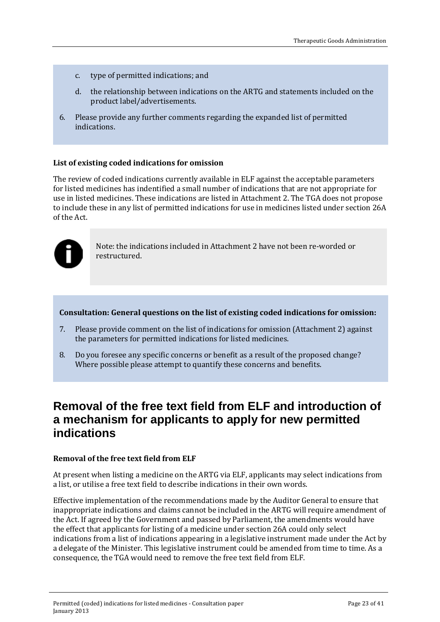- c. type of permitted indications; and
- d. the relationship between indications on the ARTG and statements included on the product label/advertisements.
- 6. Please provide any further comments regarding the expanded list of permitted indications.

#### <span id="page-22-0"></span>**List of existing coded indications for omission**

The review of coded indications currently available in ELF against the acceptable parameters for listed medicines has indentified a small number of indications that are not appropriate for use in listed medicines. These indications are listed in Attachment 2. The TGA does not propose to include these in any list of permitted indications for use in medicines listed under section 26A of the Act.



Note: the indications included in Attachment 2 have not been re-worded or restructured.

#### **Consultation: General questions on the list of existing coded indications for omission:**

- 7. Please provide comment on the list of indications for omission (Attachment 2) against the parameters for permitted indications for listed medicines.
- 8. Do you foresee any specific concerns or benefit as a result of the proposed change? Where possible please attempt to quantify these concerns and benefits.

### <span id="page-22-1"></span>**Removal of the free text field from ELF and introduction of a mechanism for applicants to apply for new permitted indications**

#### <span id="page-22-2"></span>**Removal of the free text field from ELF**

At present when listing a medicine on the ARTG via ELF, applicants may select indications from a list, or utilise a free text field to describe indications in their own words.

Effective implementation of the recommendations made by the Auditor General to ensure that inappropriate indications and claims cannot be included in the ARTG will require amendment of the Act. If agreed by the Government and passed by Parliament, the amendments would have the effect that applicants for listing of a medicine under section 26A could only select indications from a list of indications appearing in a legislative instrument made under the Act by a delegate of the Minister. This legislative instrument could be amended from time to time. As a consequence, the TGA would need to remove the free text field from ELF.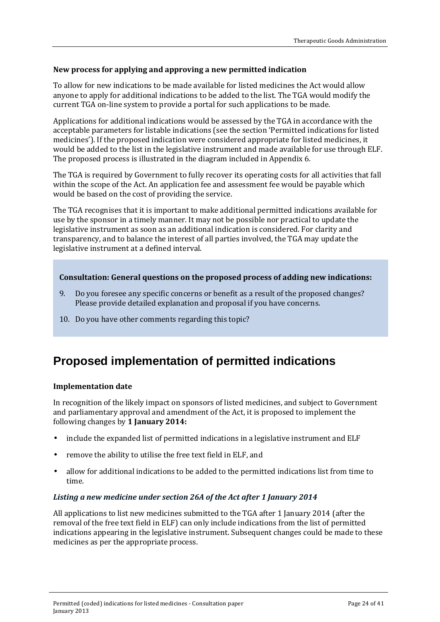#### <span id="page-23-0"></span>**New process for applying and approving a new permitted indication**

To allow for new indications to be made available for listed medicines the Act would allow anyone to apply for additional indications to be added to the list. The TGA would modify the current TGA on-line system to provide a portal for such applications to be made.

Applications for additional indications would be assessed by the TGA in accordance with the acceptable parameters for listable indications (see the section 'Permitted indications for listed medicines'). If the proposed indication were considered appropriate for listed medicines, it would be added to the list in the legislative instrument and made available for use through ELF. The proposed process is illustrated in the diagram included in Appendix 6.

The TGA is required by Government to fully recover its operating costs for all activities that fall within the scope of the Act. An application fee and assessment fee would be payable which would be based on the cost of providing the service.

The TGA recognises that it is important to make additional permitted indications available for use by the sponsor in a timely manner. It may not be possible nor practical to update the legislative instrument as soon as an additional indication is considered. For clarity and transparency, and to balance the interest of all parties involved, the TGA may update the legislative instrument at a defined interval.

#### **Consultation: General questions on the proposed process of adding new indications:**

- 9. Do you foresee any specific concerns or benefit as a result of the proposed changes? Please provide detailed explanation and proposal if you have concerns.
- 10. Do you have other comments regarding this topic?

## <span id="page-23-1"></span>**Proposed implementation of permitted indications**

#### <span id="page-23-2"></span>**Implementation date**

In recognition of the likely impact on sponsors of listed medicines, and subject to Government and parliamentary approval and amendment of the Act, it is proposed to implement the following changes by **1 January 2014:**

- include the expanded list of permitted indications in a legislative instrument and ELF
- remove the ability to utilise the free text field in ELF, and
- allow for additional indications to be added to the permitted indications list from time to time.

#### *Listing a new medicine under section 26A of the Act after 1 January 2014*

All applications to list new medicines submitted to the TGA after 1 January 2014 (after the removal of the free text field in ELF) can only include indications from the list of permitted indications appearing in the legislative instrument. Subsequent changes could be made to these medicines as per the appropriate process.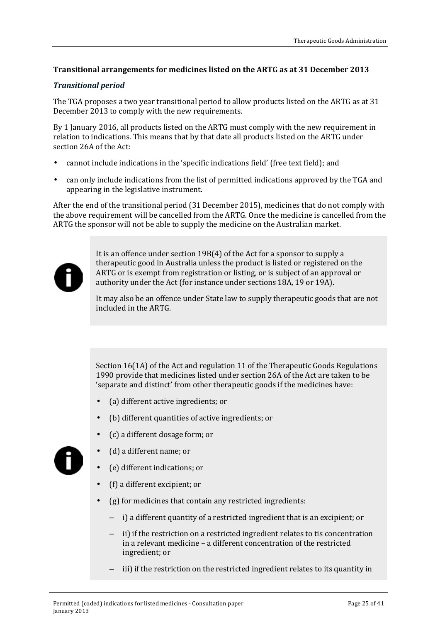#### <span id="page-24-0"></span>**Transitional arrangements for medicines listed on the ARTG as at 31 December 2013**

#### *Transitional period*

The TGA proposes a two year transitional period to allow products listed on the ARTG as at 31 December 2013 to comply with the new requirements.

By 1 January 2016, all products listed on the ARTG must comply with the new requirement in relation to indications. This means that by that date all products listed on the ARTG under section 26A of the Act:

- cannot include indications in the 'specific indications field' (free text field); and
- can only include indications from the list of permitted indications approved by the TGA and appearing in the legislative instrument.

After the end of the transitional period (31 December 2015), medicines that do not comply with the above requirement will be cancelled from the ARTG. Once the medicine is cancelled from the ARTG the sponsor will not be able to supply the medicine on the Australian market.



It is an offence under section 19B(4) of the Act for a sponsor to supply a therapeutic good in Australia unless the product is listed or registered on the ARTG or is exempt from registration or listing, or is subject of an approval or authority under the Act (for instance under sections 18A, 19 or 19A).

It may also be an offence under State law to supply therapeutic goods that are not included in the ARTG.

Section 16(1A) of the Act and regulation 11 of the Therapeutic Goods Regulations 1990 provide that medicines listed under section 26A of the Act are taken to be 'separate and distinct' from other therapeutic goods if the medicines have:

- (a) different active ingredients; or
- (b) different quantities of active ingredients; or
- (c) a different dosage form; or



- (d) a different name; or
- (e) different indications; or
- (f) a different excipient; or
- (g) for medicines that contain any restricted ingredients:
	- i) a different quantity of a restricted ingredient that is an excipient; or
	- ii) if the restriction on a restricted ingredient relates to tis concentration in a relevant medicine – a different concentration of the restricted ingredient; or
	- iii) if the restriction on the restricted ingredient relates to its quantity in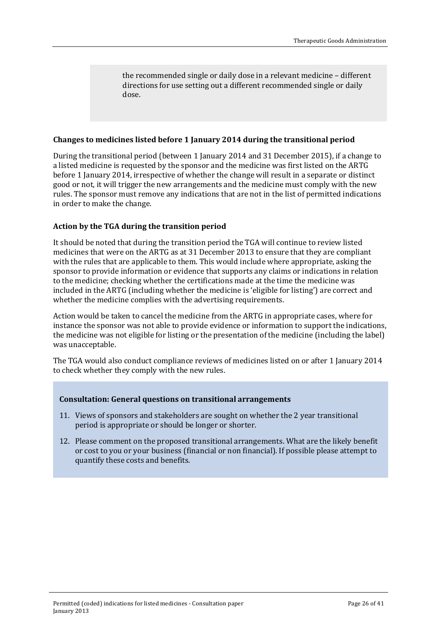the recommended single or daily dose in a relevant medicine – different directions for use setting out a different recommended single or daily dose.

#### <span id="page-25-0"></span>**Changes to medicines listed before 1 January 2014 during the transitional period**

During the transitional period (between 1 January 2014 and 31 December 2015), if a change to a listed medicine is requested by the sponsor and the medicine was first listed on the ARTG before 1 January 2014, irrespective of whether the change will result in a separate or distinct good or not, it will trigger the new arrangements and the medicine must comply with the new rules. The sponsor must remove any indications that are not in the list of permitted indications in order to make the change.

#### <span id="page-25-1"></span>**Action by the TGA during the transition period**

It should be noted that during the transition period the TGA will continue to review listed medicines that were on the ARTG as at 31 December 2013 to ensure that they are compliant with the rules that are applicable to them. This would include where appropriate, asking the sponsor to provide information or evidence that supports any claims or indications in relation to the medicine; checking whether the certifications made at the time the medicine was included in the ARTG (including whether the medicine is 'eligible for listing') are correct and whether the medicine complies with the advertising requirements.

Action would be taken to cancel the medicine from the ARTG in appropriate cases, where for instance the sponsor was not able to provide evidence or information to support the indications, the medicine was not eligible for listing or the presentation of the medicine (including the label) was unacceptable.

The TGA would also conduct compliance reviews of medicines listed on or after 1 January 2014 to check whether they comply with the new rules.

#### **Consultation: General questions on transitional arrangements**

- 11. Views of sponsors and stakeholders are sought on whether the 2 year transitional period is appropriate or should be longer or shorter.
- 12. Please comment on the proposed transitional arrangements. What are the likely benefit or cost to you or your business (financial or non financial). If possible please attempt to quantify these costs and benefits.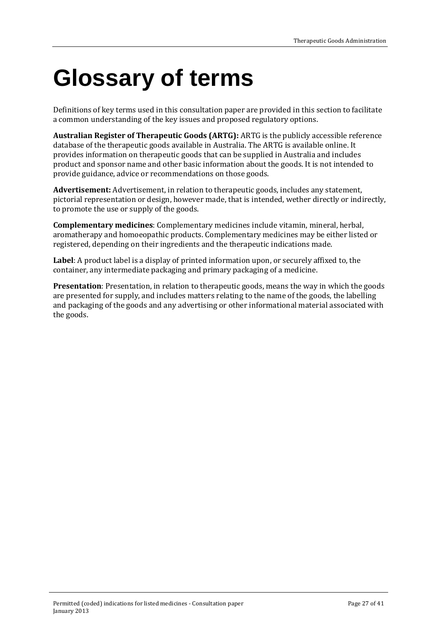## <span id="page-26-0"></span>**Glossary of terms**

Definitions of key terms used in this consultation paper are provided in this section to facilitate a common understanding of the key issues and proposed regulatory options.

**Australian Register of Therapeutic Goods (ARTG):** ARTG is the publicly accessible reference database of the therapeutic goods available in Australia. The ARTG is available online. It provides information on therapeutic goods that can be supplied in Australia and includes product and sponsor name and other basic information about the goods. It is not intended to provide guidance, advice or recommendations on those goods.

**Advertisement:** Advertisement, in relation to therapeutic goods, includes any statement, pictorial representation or design, however made, that is intended, wether directly or indirectly, to promote the use or supply of the goods.

**Complementary medicines**: Complementary medicines include vitamin, mineral, herbal, aromatherapy and homoeopathic products. Complementary medicines may be either listed or registered, depending on their ingredients and the therapeutic indications made.

**Label**: A product label is a display of printed information upon, or securely affixed to, the container, any intermediate packaging and primary packaging of a medicine.

**Presentation**: Presentation, in relation to therapeutic goods, means the way in which the goods are presented for supply, and includes matters relating to the name of the goods, the labelling and packaging of the goods and any advertising or other informational material associated with the goods.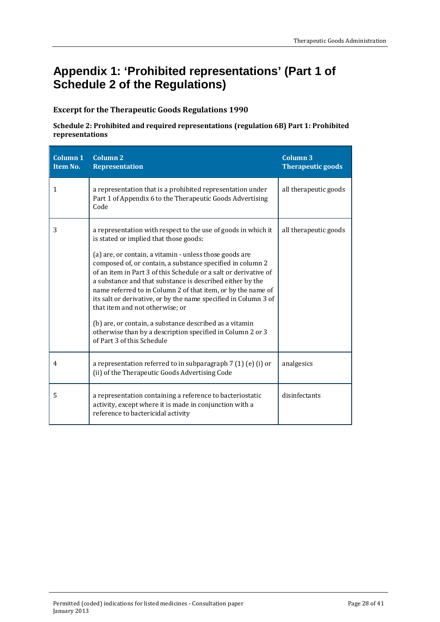## <span id="page-27-0"></span>**Appendix 1: 'Prohibited representations' (Part 1 of Schedule 2 of the Regulations)**

#### <span id="page-27-1"></span>**Excerpt for the Therapeutic Goods Regulations 1990**

#### **Schedule 2: Prohibited and required representations (regulation 6B) Part 1: Prohibited representations**

| Column 1<br>Item No. | Column <sub>2</sub><br><b>Representation</b>                                                                                                                                                                                                                                                                                                                                                                                                                                                                                                                                                                                                                                                   | Column 3<br><b>Therapeutic goods</b> |
|----------------------|------------------------------------------------------------------------------------------------------------------------------------------------------------------------------------------------------------------------------------------------------------------------------------------------------------------------------------------------------------------------------------------------------------------------------------------------------------------------------------------------------------------------------------------------------------------------------------------------------------------------------------------------------------------------------------------------|--------------------------------------|
| 1                    | a representation that is a prohibited representation under<br>Part 1 of Appendix 6 to the Therapeutic Goods Advertising<br>Code                                                                                                                                                                                                                                                                                                                                                                                                                                                                                                                                                                | all therapeutic goods                |
| 3                    | a representation with respect to the use of goods in which it<br>is stated or implied that those goods:<br>(a) are, or contain, a vitamin - unless those goods are<br>composed of, or contain, a substance specified in column 2<br>of an item in Part 3 of this Schedule or a salt or derivative of<br>a substance and that substance is described either by the<br>name referred to in Column 2 of that item, or by the name of<br>its salt or derivative, or by the name specified in Column 3 of<br>that item and not otherwise; or<br>(b) are, or contain, a substance described as a vitamin<br>otherwise than by a description specified in Column 2 or 3<br>of Part 3 of this Schedule | all therapeutic goods                |
| 4                    | a representation referred to in subparagraph $7(1)(e)(i)$ or<br>(ii) of the Therapeutic Goods Advertising Code                                                                                                                                                                                                                                                                                                                                                                                                                                                                                                                                                                                 | analgesics                           |
| 5                    | a representation containing a reference to bacteriostatic<br>activity, except where it is made in conjunction with a<br>reference to bactericidal activity                                                                                                                                                                                                                                                                                                                                                                                                                                                                                                                                     | disinfectants                        |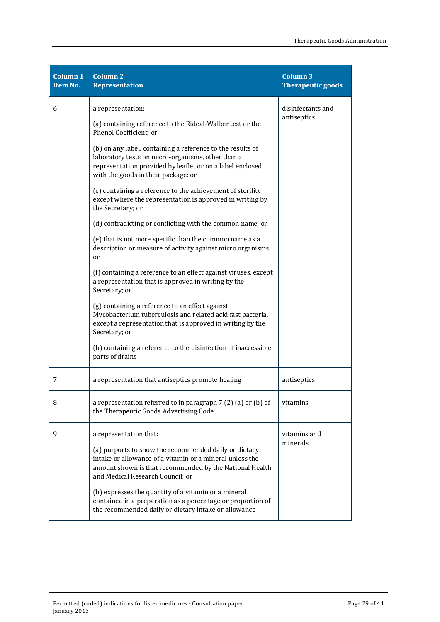| <b>Column 1</b><br>Item No. | <b>Column 2</b><br><b>Representation</b>                                                                                                                                                                            | <b>Column 3</b><br><b>Therapeutic goods</b> |
|-----------------------------|---------------------------------------------------------------------------------------------------------------------------------------------------------------------------------------------------------------------|---------------------------------------------|
| 6                           | a representation:                                                                                                                                                                                                   | disinfectants and                           |
|                             | (a) containing reference to the Rideal-Walker test or the<br>Phenol Coefficient; or                                                                                                                                 | antiseptics                                 |
|                             | (b) on any label, containing a reference to the results of<br>laboratory tests on micro-organisms, other than a<br>representation provided by leaflet or on a label enclosed<br>with the goods in their package; or |                                             |
|                             | (c) containing a reference to the achievement of sterility<br>except where the representation is approved in writing by<br>the Secretary; or                                                                        |                                             |
|                             | (d) contradicting or conflicting with the common name; or                                                                                                                                                           |                                             |
|                             | (e) that is not more specific than the common name as a<br>description or measure of activity against micro organisms;<br>or                                                                                        |                                             |
|                             | (f) containing a reference to an effect against viruses, except<br>a representation that is approved in writing by the<br>Secretary; or                                                                             |                                             |
|                             | (g) containing a reference to an effect against<br>Mycobacterium tuberculosis and related acid fast bacteria,<br>except a representation that is approved in writing by the<br>Secretary; or                        |                                             |
|                             | (h) containing a reference to the disinfection of inaccessible<br>parts of drains                                                                                                                                   |                                             |
| 7                           | a representation that antiseptics promote healing                                                                                                                                                                   | antiseptics                                 |
| 8                           | a representation referred to in paragraph 7 (2) (a) or (b) of<br>the Therapeutic Goods Advertising Code                                                                                                             | vitamins                                    |
| 9                           | a representation that:                                                                                                                                                                                              | vitamins and                                |
|                             | (a) purports to show the recommended daily or dietary<br>intake or allowance of a vitamin or a mineral unless the<br>amount shown is that recommended by the National Health<br>and Medical Research Council; or    | minerals                                    |
|                             | (b) expresses the quantity of a vitamin or a mineral<br>contained in a preparation as a percentage or proportion of<br>the recommended daily or dietary intake or allowance                                         |                                             |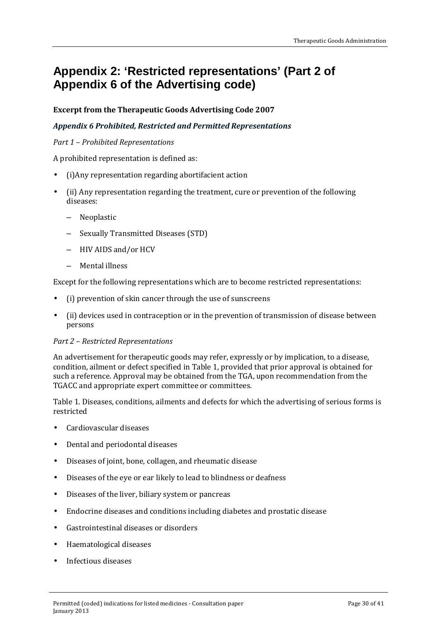## <span id="page-29-0"></span>**Appendix 2: 'Restricted representations' (Part 2 of Appendix 6 of the Advertising code)**

#### <span id="page-29-1"></span>**Excerpt from the Therapeutic Goods Advertising Code 2007**

#### *Appendix 6 Prohibited, Restricted and Permitted Representations*

#### *Part 1 – Prohibited Representations*

A prohibited representation is defined as:

- (i)Any representation regarding abortifacient action
- (ii) Any representation regarding the treatment, cure or prevention of the following diseases:
	- Neoplastic
	- Sexually Transmitted Diseases (STD)
	- HIV AIDS and/or HCV
	- Mental illness

Except for the following representations which are to become restricted representations:

- (i) prevention of skin cancer through the use of sunscreens
- (ii) devices used in contraception or in the prevention of transmission of disease between persons

#### *Part 2 – Restricted Representations*

An advertisement for therapeutic goods may refer, expressly or by implication, to a disease, condition, ailment or defect specified in Table 1, provided that prior approval is obtained for such a reference. Approval may be obtained from the TGA, upon recommendation from the TGACC and appropriate expert committee or committees.

Table 1. Diseases, conditions, ailments and defects for which the advertising of serious forms is restricted

- Cardiovascular diseases
- Dental and periodontal diseases  $\mathbf{r}$
- Diseases of joint, bone, collagen, and rheumatic disease  $\mathbf{r}$
- Diseases of the eye or ear likely to lead to blindness or deafness  $\mathbf{r}$
- Diseases of the liver, biliary system or pancreas  $\mathbf{r}$
- Endocrine diseases and conditions including diabetes and prostatic disease  $\mathcal{L}^{\pm}$
- Gastrointestinal diseases or disorders  $\mathbf{r}$
- Haematological diseases  $\mathcal{L}^{\mathcal{L}}$
- Infectious diseases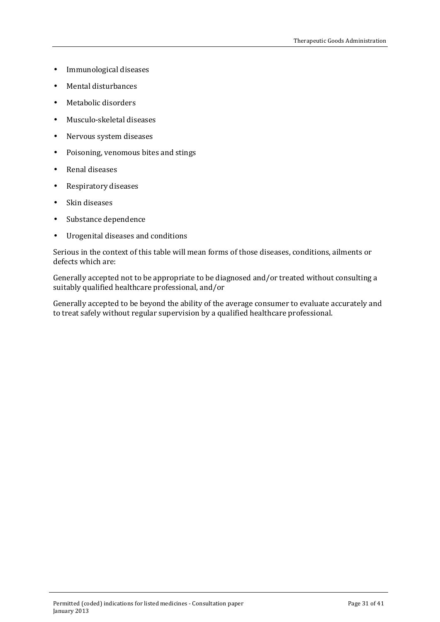- Immunological diseases l,
- Mental disturbances J.
- Metabolic disorders J.
- Musculo-skeletal diseases t.
- Nervous system diseases  $\hat{\mathbf{r}}$
- Poisoning, venomous bites and stings  $\blacksquare$
- Renal diseases J.
- Respiratory diseases ä,
- Skin diseases J.
- Substance dependence  $\blacksquare$
- Urogenital diseases and conditions  $\hat{\mathbf{r}}$

Serious in the context of this table will mean forms of those diseases, conditions, ailments or defects which are:

Generally accepted not to be appropriate to be diagnosed and/or treated without consulting a suitably qualified healthcare professional, and/or

Generally accepted to be beyond the ability of the average consumer to evaluate accurately and to treat safely without regular supervision by a qualified healthcare professional.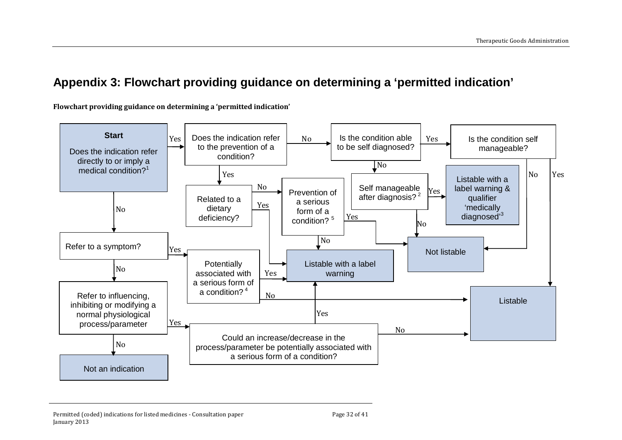## **Appendix 3: Flowchart providing guidance on determining a 'permitted indication'**

**Flowchart providing guidance on determining a 'permitted indication'**

<span id="page-31-0"></span>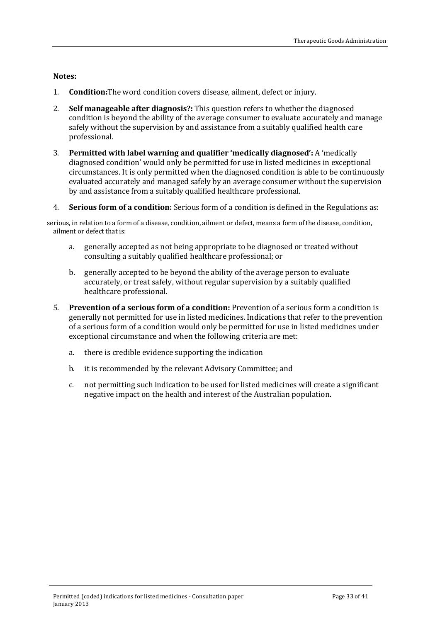<span id="page-32-0"></span>**Notes:**

- 1. **Condition:**The word condition covers disease, ailment, defect or injury.
- 2. **Self manageable after diagnosis?:** This question refers to whether the diagnosed condition is beyond the ability of the average consumer to evaluate accurately and manage safely without the supervision by and assistance from a suitably qualified health care professional.
- 3. **Permitted with label warning and qualifier 'medically diagnosed':** A 'medically diagnosed condition' would only be permitted for use in listed medicines in exceptional circumstances. It is only permitted when the diagnosed condition is able to be continuously evaluated accurately and managed safely by an average consumer without the supervision by and assistance from a suitably qualified healthcare professional.
- 4. **Serious form of a condition:** Serious form of a condition is defined in the Regulations as:

serious, in relation to a form of a disease, condition, ailment or defect, means a form of the disease, condition, ailment or defect that is:

- a. generally accepted as not being appropriate to be diagnosed or treated without consulting a suitably qualified healthcare professional; or
- b. generally accepted to be beyond the ability of the average person to evaluate accurately, or treat safely, without regular supervision by a suitably qualified healthcare professional.
- 5. **Prevention of a serious form of a condition:** Prevention of a serious form a condition is generally not permitted for use in listed medicines. Indications that refer to the prevention of a serious form of a condition would only be permitted for use in listed medicines under exceptional circumstance and when the following criteria are met:
	- a. there is credible evidence supporting the indication
	- b. it is recommended by the relevant Advisory Committee; and
	- c. not permitting such indication to be used for listed medicines will create a significant negative impact on the health and interest of the Australian population.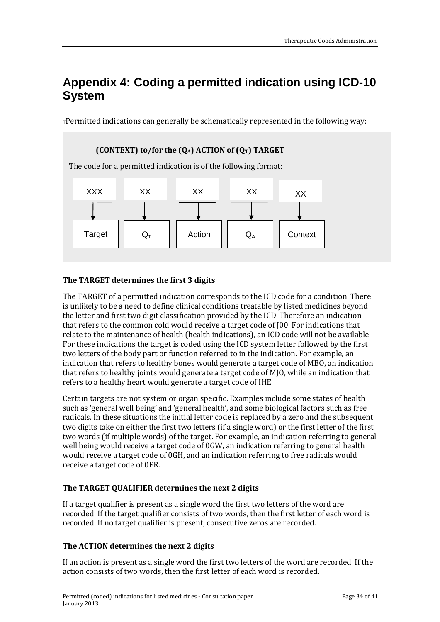## <span id="page-33-0"></span>**Appendix 4: Coding a permitted indication using ICD-10 System**

 $T$ Permitted indications can generally be schematically represented in the following way:

# **(CONTEXT) to/for the**  $(Q_A)$  **ACTION of**  $(Q_T)$  **TARGET** The code for a permitted indication is of the following format: Target  $\big|\big|$  Q<sub>T</sub>  $\big|$  Action  $\big|\big|$  Q<sub>A</sub>  $\big|$  Context XXX XX XX XX <sub>XX</sub>

#### <span id="page-33-1"></span>**The TARGET determines the first 3 digits**

The TARGET of a permitted indication corresponds to the ICD code for a condition. There is unlikely to be a need to define clinical conditions treatable by listed medicines beyond the letter and first two digit classification provided by the ICD. Therefore an indication that refers to the common cold would receive a target code of J00. For indications that relate to the maintenance of health (health indications), an ICD code will not be available. For these indications the target is coded using the ICD system letter followed by the first two letters of the body part or function referred to in the indication. For example, an indication that refers to healthy bones would generate a target code of MBO, an indication that refers to healthy joints would generate a target code of MJO, while an indication that refers to a healthy heart would generate a target code of IHE.

Certain targets are not system or organ specific. Examples include some states of health such as 'general well being' and 'general health', and some biological factors such as free radicals. In these situations the initial letter code is replaced by a zero and the subsequent two digits take on either the first two letters (if a single word) or the first letter of the first two words (if multiple words) of the target. For example, an indication referring to general well being would receive a target code of 0GW, an indication referring to general health would receive a target code of 0GH, and an indication referring to free radicals would receive a target code of 0FR.

#### <span id="page-33-2"></span>**The TARGET QUALIFIER determines the next 2 digits**

If a target qualifier is present as a single word the first two letters of the word are recorded. If the target qualifier consists of two words, then the first letter of each word is recorded. If no target qualifier is present, consecutive zeros are recorded.

#### <span id="page-33-3"></span>**The ACTION determines the next 2 digits**

If an action is present as a single word the first two letters of the word are recorded. If the action consists of two words, then the first letter of each word is recorded.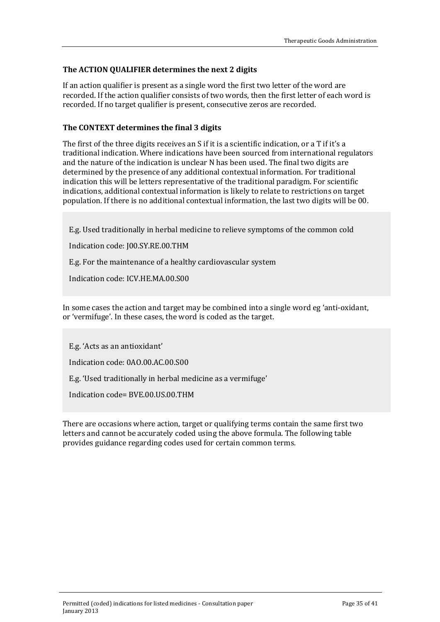#### <span id="page-34-0"></span>**The ACTION QUALIFIER determines the next 2 digits**

If an action qualifier is present as a single word the first two letter of the word are recorded. If the action qualifier consists of two words, then the first letter of each word is recorded. If no target qualifier is present, consecutive zeros are recorded.

#### <span id="page-34-1"></span>**The CONTEXT determines the final 3 digits**

The first of the three digits receives an S if it is a scientific indication, or a T if it's a traditional indication. Where indications have been sourced from international regulators and the nature of the indication is unclear N has been used. The final two digits are determined by the presence of any additional contextual information. For traditional indication this will be letters representative of the traditional paradigm. For scientific indications, additional contextual information is likely to relate to restrictions on target population. If there is no additional contextual information, the last two digits will be 00.

E.g. Used traditionally in herbal medicine to relieve symptoms of the common cold

Indication code: J00.SY.RE.00.THM

E.g. For the maintenance of a healthy cardiovascular system

Indication code: ICV.HE.MA.00.S00

In some cases the action and target may be combined into a single word eg 'anti-oxidant, or 'vermifuge'. In these cases, the word is coded as the target.

E.g. 'Acts as an antioxidant'

Indication code: 0AO.00.AC.00.S00

E.g. 'Used traditionally in herbal medicine as a vermifuge'

Indication code= BVE.00.US.00.THM

There are occasions where action, target or qualifying terms contain the same first two letters and cannot be accurately coded using the above formula. The following table provides guidance regarding codes used for certain common terms.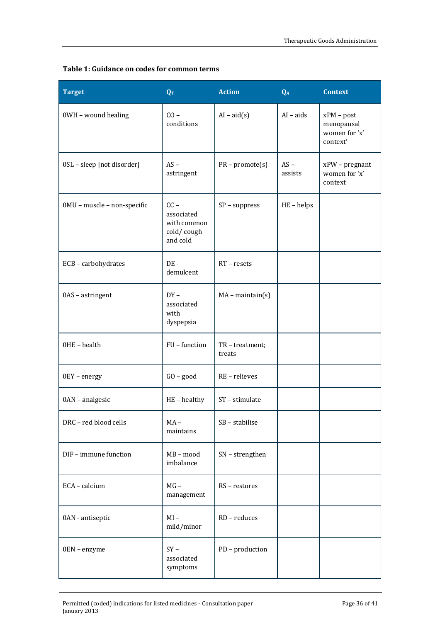#### **Table 1: Guidance on codes for common terms**

| <b>Target</b>               | $\overline{\mathbf{Q_T}}$                                     | <b>Action</b>           | $Q_A$             | <b>Context</b>                                          |
|-----------------------------|---------------------------------------------------------------|-------------------------|-------------------|---------------------------------------------------------|
| 0WH - wound healing         | $CO -$<br>conditions                                          | $AI - aid(s)$           | $AI - aids$       | $xPM - post$<br>menopausal<br>women for 'x'<br>context' |
| 0SL - sleep [not disorder]  | $AS -$<br>astringent                                          | $PR$ – promote(s)       | $AS -$<br>assists | $xPW$ – pregnant<br>women for 'x'<br>context            |
| 0MU - muscle - non-specific | $CC -$<br>associated<br>with common<br>cold/cough<br>and cold | $SP$ – suppress         | $HE - helps$      |                                                         |
| ECB - carbohydrates         | $DE -$<br>demulcent                                           | $RT - resets$           |                   |                                                         |
| 0AS - astringent            | $DY -$<br>associated<br>with<br>dyspepsia                     | $MA - maintain(s)$      |                   |                                                         |
| OHE - health                | FU - function                                                 | TR-treatment;<br>treats |                   |                                                         |
| 0EY - energy                | $GO - good$                                                   | RE - relieves           |                   |                                                         |
| 0AN - analgesic             | HE-healthy                                                    | ST - stimulate          |                   |                                                         |
| DRC - red blood cells       | $MA -$<br>maintains                                           | SB - stabilise          |                   |                                                         |
| DIF - immune function       | MB-mood<br>imbalance                                          | SN - strengthen         |                   |                                                         |
| ECA - calcium               | $MG -$<br>management                                          | RS - restores           |                   |                                                         |
| 0AN - antiseptic            | $MI -$<br>mild/minor                                          | RD - reduces            |                   |                                                         |
| 0EN - enzyme                | $SY -$<br>associated<br>symptoms                              | PD - production         |                   |                                                         |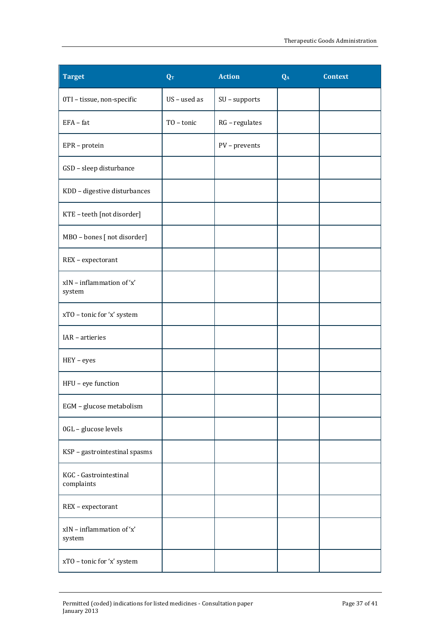| <b>Target</b>                        | QT           | <b>Action</b>    | Q <sub>A</sub> | <b>Context</b> |
|--------------------------------------|--------------|------------------|----------------|----------------|
| 0TI - tissue, non-specific           | US - used as | SU - supports    |                |                |
| $EFA - fat$                          | TO - tonic   | $RG$ - regulates |                |                |
| EPR - protein                        |              | PV - prevents    |                |                |
| GSD - sleep disturbance              |              |                  |                |                |
| KDD - digestive disturbances         |              |                  |                |                |
| KTE - teeth [not disorder]           |              |                  |                |                |
| MBO - bones [ not disorder]          |              |                  |                |                |
| REX - expectorant                    |              |                  |                |                |
| xIN - inflammation of 'x'<br>system  |              |                  |                |                |
| xTO - tonic for 'x' system           |              |                  |                |                |
| IAR - artieries                      |              |                  |                |                |
| HEY - eyes                           |              |                  |                |                |
| HFU - eye function                   |              |                  |                |                |
| EGM - glucose metabolism             |              |                  |                |                |
| 0GL - glucose levels                 |              |                  |                |                |
| KSP - gastrointestinal spasms        |              |                  |                |                |
| KGC - Gastrointestinal<br>complaints |              |                  |                |                |
| REX - expectorant                    |              |                  |                |                |
| xIN - inflammation of 'x'<br>system  |              |                  |                |                |
| xTO - tonic for 'x' system           |              |                  |                |                |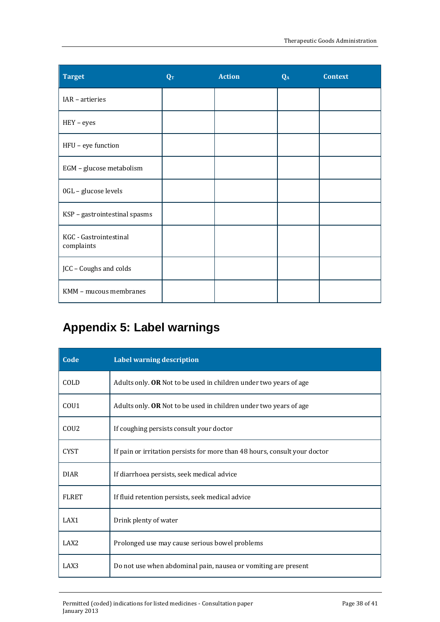| <b>Target</b>                        | QT | <b>Action</b> | QA | <b>Context</b> |
|--------------------------------------|----|---------------|----|----------------|
| IAR - artieries                      |    |               |    |                |
| $HEY - eyes$                         |    |               |    |                |
| HFU - eye function                   |    |               |    |                |
| EGM - glucose metabolism             |    |               |    |                |
| 0GL - glucose levels                 |    |               |    |                |
| KSP - gastrointestinal spasms        |    |               |    |                |
| KGC - Gastrointestinal<br>complaints |    |               |    |                |
| JCC - Coughs and colds               |    |               |    |                |
| KMM - mucous membranes               |    |               |    |                |

## <span id="page-37-0"></span>**Appendix 5: Label warnings**

| Code             | <b>Label warning description</b>                                           |
|------------------|----------------------------------------------------------------------------|
| COLD             | Adults only. OR Not to be used in children under two years of age          |
| COU <sub>1</sub> | Adults only. <b>OR</b> Not to be used in children under two years of age   |
| COU <sub>2</sub> | If coughing persists consult your doctor                                   |
| <b>CYST</b>      | If pain or irritation persists for more than 48 hours, consult your doctor |
| <b>DIAR</b>      | If diarrhoea persists, seek medical advice                                 |
| <b>FLRET</b>     | If fluid retention persists, seek medical advice                           |
| LAX1             | Drink plenty of water                                                      |
| LAX <sub>2</sub> | Prolonged use may cause serious bowel problems                             |
| LAX3             | Do not use when abdominal pain, nausea or vomiting are present             |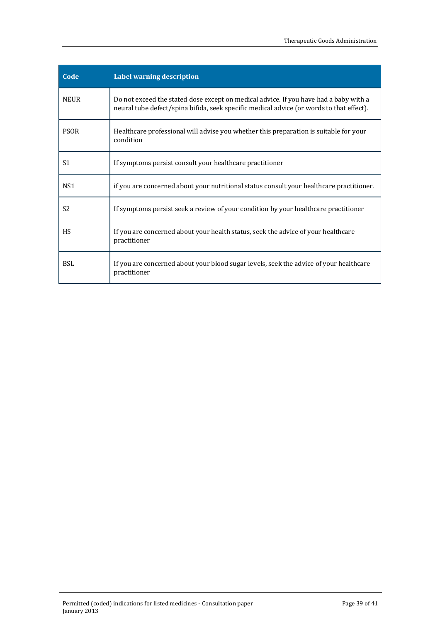| Code            | <b>Label warning description</b>                                                                                                                                                  |
|-----------------|-----------------------------------------------------------------------------------------------------------------------------------------------------------------------------------|
| <b>NEUR</b>     | Do not exceed the stated dose except on medical advice. If you have had a baby with a<br>neural tube defect/spina bifida, seek specific medical advice (or words to that effect). |
| <b>PSOR</b>     | Healthcare professional will advise you whether this preparation is suitable for your<br>condition                                                                                |
| S1              | If symptoms persist consult your healthcare practitioner                                                                                                                          |
| NS <sub>1</sub> | if you are concerned about your nutritional status consult your healthcare practitioner.                                                                                          |
| S <sub>2</sub>  | If symptoms persist seek a review of your condition by your healthcare practitioner                                                                                               |
| <b>HS</b>       | If you are concerned about your health status, seek the advice of your healthcare<br>practitioner                                                                                 |
| <b>BSL</b>      | If you are concerned about your blood sugar levels, seek the advice of your healthcare<br>practitioner                                                                            |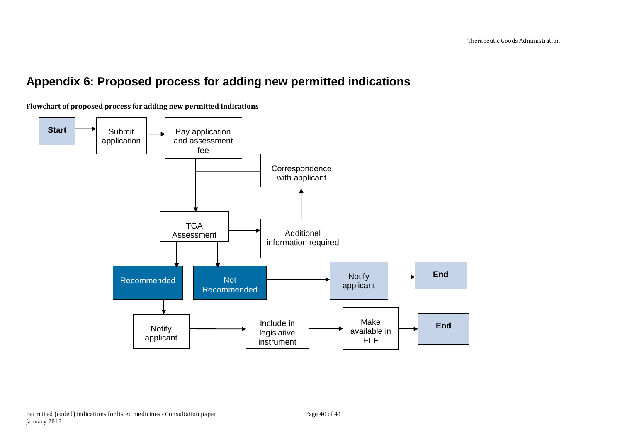## **Appendix 6: Proposed process for adding new permitted indications**

**Flowchart of proposed process for adding new permitted indications**

<span id="page-39-0"></span>